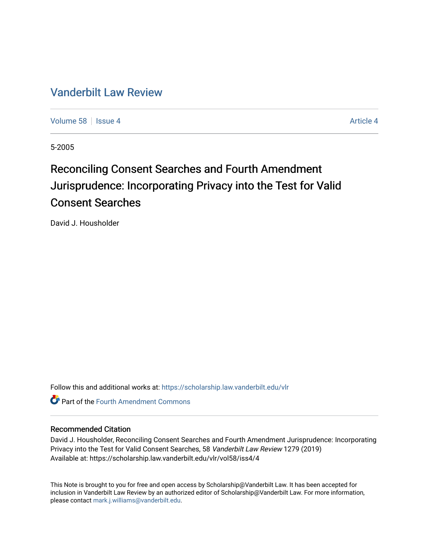## [Vanderbilt Law Review](https://scholarship.law.vanderbilt.edu/vlr)

[Volume 58](https://scholarship.law.vanderbilt.edu/vlr/vol58) Setsue 4 [Article 4](https://scholarship.law.vanderbilt.edu/vlr/vol58/iss4/4) Article 4 Article 4 Article 4 Article 4 Article 4 Article 4

5-2005

# Reconciling Consent Searches and Fourth Amendment Jurisprudence: Incorporating Privacy into the Test for Valid Consent Searches

David J. Housholder

Follow this and additional works at: [https://scholarship.law.vanderbilt.edu/vlr](https://scholarship.law.vanderbilt.edu/vlr?utm_source=scholarship.law.vanderbilt.edu%2Fvlr%2Fvol58%2Fiss4%2F4&utm_medium=PDF&utm_campaign=PDFCoverPages)

**C** Part of the Fourth Amendment Commons

### Recommended Citation

David J. Housholder, Reconciling Consent Searches and Fourth Amendment Jurisprudence: Incorporating Privacy into the Test for Valid Consent Searches, 58 Vanderbilt Law Review 1279 (2019) Available at: https://scholarship.law.vanderbilt.edu/vlr/vol58/iss4/4

This Note is brought to you for free and open access by Scholarship@Vanderbilt Law. It has been accepted for inclusion in Vanderbilt Law Review by an authorized editor of Scholarship@Vanderbilt Law. For more information, please contact [mark.j.williams@vanderbilt.edu.](mailto:mark.j.williams@vanderbilt.edu)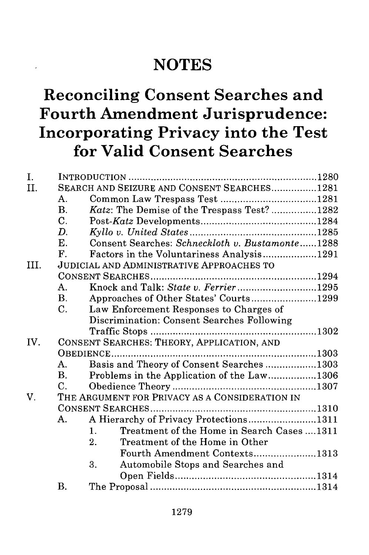## **NOTES**

## **Reconciling Consent Searches and Fourth Amendment Jurisprudence: Incorporating Privacy into the Test for Valid Consent Searches**

| I.   |                                                |                                                              |  |  |
|------|------------------------------------------------|--------------------------------------------------------------|--|--|
| II.  |                                                | SEARCH AND SEIZURE AND CONSENT SEARCHES1281                  |  |  |
|      | A.                                             |                                                              |  |  |
|      | B.                                             | Katz: The Demise of the Trespass Test? 1282                  |  |  |
|      | $\mathbf{C}$ .                                 |                                                              |  |  |
|      | D.                                             |                                                              |  |  |
|      | E.                                             | Consent Searches: Schneckloth v. Bustamonte1288              |  |  |
|      | F.                                             | Factors in the Voluntariness Analysis1291                    |  |  |
| III. |                                                | <b>JUDICIAL AND ADMINISTRATIVE APPROACHES TO</b>             |  |  |
|      |                                                |                                                              |  |  |
|      | $\mathsf{A}$ .                                 | Knock and Talk: State v. Ferrier1295                         |  |  |
|      | <b>B.</b>                                      | Approaches of Other States' Courts1299                       |  |  |
|      | C.                                             | Law Enforcement Responses to Charges of                      |  |  |
|      |                                                | Discrimination: Consent Searches Following                   |  |  |
|      |                                                |                                                              |  |  |
| IV.  | CONSENT SEARCHES: THEORY, APPLICATION, AND     |                                                              |  |  |
|      |                                                |                                                              |  |  |
|      | A.                                             | Basis and Theory of Consent Searches 1303                    |  |  |
|      | <b>B</b> .                                     | Problems in the Application of the Law1306                   |  |  |
|      | C.                                             |                                                              |  |  |
| V.   | THE ARGUMENT FOR PRIVACY AS A CONSIDERATION IN |                                                              |  |  |
|      |                                                |                                                              |  |  |
|      | A.                                             | A Hierarchy of Privacy Protections1311                       |  |  |
|      |                                                | Treatment of the Home in Search Cases 1311<br>$\mathbf{1}$ . |  |  |
|      |                                                | 2.<br>Treatment of the Home in Other                         |  |  |
|      |                                                | Fourth Amendment Contexts1313                                |  |  |
|      |                                                | 3.<br>Automobile Stops and Searches and                      |  |  |
|      |                                                |                                                              |  |  |
|      | Β.                                             |                                                              |  |  |
|      |                                                |                                                              |  |  |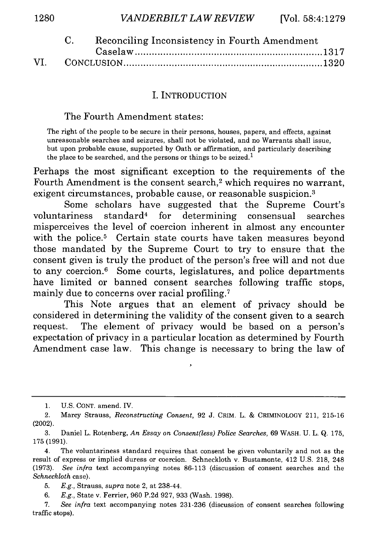|  | Reconciling Inconsistency in Fourth Amendment |  |
|--|-----------------------------------------------|--|
|  |                                               |  |
|  |                                               |  |

#### I. INTRODUCTION

#### The Fourth Amendment states:

The right of the people to be secure in their persons, houses, papers, and effects, against unreasonable searches and seizures, shall not be violated, and no Warrants shall issue, but upon probable cause, supported by Oath or affirmation, and particularly describing the place to be searched, and the persons or things to be seized.<sup>1</sup>

Perhaps the most significant exception to the requirements of the Fourth Amendment is the consent search,<sup>2</sup> which requires no warrant, exigent circumstances, probable cause, or reasonable suspicion.<sup>3</sup>

Some scholars have suggested that the Supreme Court's voluntariness standard4 for determining consensual searches misperceives the level of coercion inherent in almost any encounter with the police.<sup>5</sup> Certain state courts have taken measures beyond those mandated by the Supreme Court to try to ensure that the consent given is truly the product of the person's free will and not due to any coercion.<sup>6</sup> Some courts, legislatures, and police departments have limited or banned consent searches following traffic stops, mainly due to concerns over racial profiling.<sup>7</sup>

This Note argues that an element of privacy should be considered in determining the validity of the consent given to a search request. The element of privacy would be based on a person's expectation of privacy in a particular location as determined by Fourth Amendment case law. This change is necessary to bring the law of

<sup>1.</sup> U.S. CONT. amend. IV.

<sup>2.</sup> Marcy Strauss, *Reconstructing Consent,* 92 J. CRIM. L. **&** CRIMINOLOGY 211, 215-16 (2002).

<sup>3.</sup> Daniel L. Rotenberg, *An Essay on Consent(less) Police Searches,* 69 WASH. U. L. Q. 175, 175 (1991).

<sup>4.</sup> The voluntariness standard requires that consent be given voluntarily and not as the result of express or implied duress or coercion. Schneckloth v. Bustamonte, 412 U.S. 218, 248 (1973). *See infra* text accompanying notes 86-113 (discussion of consent searches and the *Schneckloth* case).

<sup>5.</sup> *E.g.,* Strauss, *supra* note 2, at 238-44.

<sup>6.</sup> *E.g.,* State v. Ferrier, 960 P.2d 927, 933 (Wash. 1998).

<sup>7.</sup> *See infra* text accompanying notes 231-236 (discussion of consent searches following traffic stops).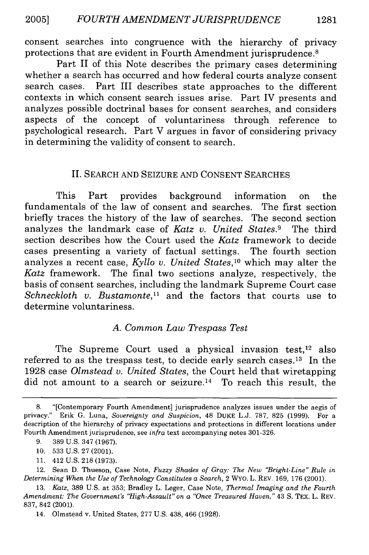consent searches into congruence with the hierarchy of privacy protections that are evident in Fourth Amendment jurisprudence.8

Part II of this Note describes the primary cases determining whether a search has occurred and how federal courts analyze consent search cases. Part III describes state approaches to the different contexts in which consent search issues arise. Part IV presents and analyzes possible doctrinal bases for consent searches, and considers aspects of the concept of voluntariness through reference to psychological research. Part V argues in favor of considering privacy in determining the validity of consent to search.

#### II. SEARCH AND SEIZURE AND CONSENT SEARCHES

This Part provides background information on the fundamentals of the law of consent and searches. The first section briefly traces the history of the law of searches. The second section analyzes the landmark case of *Katz v. United States.9* The third section describes how the Court used the *Katz* framework to decide cases presenting a variety of factual settings. The fourth section analyzes a recent case, *Kyllo v. United States,10* which may alter the *Katz* framework. The final two sections analyze, respectively, the basis of consent searches, including the landmark Supreme Court case Schneckloth v. Bustamonte,<sup>11</sup> and the factors that courts use to determine voluntariness.

#### *A. Common Law Trespass Test*

The Supreme Court used a physical invasion test,<sup>12</sup> also referred to as the trespass test, to decide early search cases.<sup>13</sup> In the 1928 case *Olmstead v. United States,* the Court held that wiretapping did not amount to a search or seizure.14 To reach this result, the

- 10. 533 U.S. 27 (2001).
- 11. 412 U.S. 218 (1973).

12. Sean D. Thueson, Case Note, *Fuzzy Shades of Gray: The New "Bright-Line" Rule in Determining When the Use of Technology Constitutes a Search,* 2 WYO. L. REV. 169, 176 (2001).

<sup>8. &</sup>quot;[Contemporary Fourth Amendment] jurisprudence analyzes issues under the aegis of privacy." Erik G. Luna, *Sovereignty and Suspicion,* 48 DUKE L.J. 787, 825 (1999). For a description of the hierarchy of privacy expectations and protections in different locations under Fourth Amendment jurisprudence, see *infra* text accompanying notes 301-326.

<sup>9. 389</sup> U.S. 347 (1967).

<sup>13.</sup> *Katz,* 389 U.S. at 353; Bradley L. Leger, Case Note, *Thermal Imaging and the Fourth Amendment: The Government's "High-Assault" on a "Once Treasured Haven,"* 43 **S.** TEX. L. REV. 837, 842 (2001).

<sup>14.</sup> Olmstead v. United States, 277 U.S. 438, 466 (1928).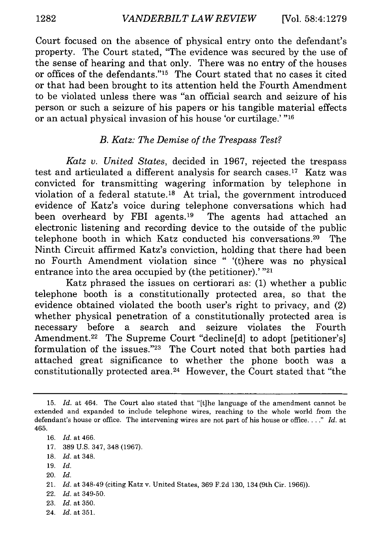Court focused on the absence of physical entry onto the defendant's property. The Court stated, "The evidence was secured by the use of the sense of hearing and that only. There was no entry of the houses or offices of the defendants."<sup>15</sup> The Court stated that no cases it cited or that had been brought to its attention held the Fourth Amendment to be violated unless there was "an official search and seizure of his person or such a seizure of his papers or his tangible material effects or an actual physical invasion of his house 'or curtilage.' **"16**

#### *B. Katz: The Demise of the Trespass Test?*

*Katz v. United States,* decided in 1967, rejected the trespass test and articulated a different analysis for search cases.<sup>17</sup> Katz was convicted for transmitting wagering information by telephone in violation of a federal statute.<sup>18</sup> At trial, the government introduced evidence of Katz's voice during telephone conversations which had been overheard by FBI agents.<sup>19</sup> The agents had attached an electronic listening and recording device to the outside of the public telephone booth in which Katz conducted his conversations.<sup>20</sup> The Ninth Circuit affirmed Katz's conviction, holding that there had been no Fourth Amendment violation since " '(t)here was no physical entrance into the area occupied by (the petitioner).' "21

Katz phrased the issues on certiorari as: (1) whether a public telephone booth is a constitutionally protected area, so that the evidence obtained violated the booth user's right to privacy, and (2) whether physical penetration of a constitutionally protected area is necessary before a search and seizure violates the Fourth Amendment.<sup>22</sup> The Supreme Court "decline[d] to adopt [petitioner's] formulation of the issues."23 The Court noted that both parties had attached great significance to whether the phone booth was a constitutionally protected area. 24 However, the Court stated that "the

- 17. 389 U.S. 347, 348 (1967).
- 18. *Id.* at 348.
- 19. *Id.*
- 20. *Id.*
- 21. *Id.* at 348-49 (citing Katz v. United States, 369 F.2d 130, 134 (9th Cir. 1966)).
- 22. *Id.* at 349-50.
- 23. *Id.* at 350.
- 24. Id. at 351.

<sup>15.</sup> *Id.* at 464. The Court also stated that "[t]he language of the amendment cannot be extended and expanded to include telephone wires, reaching to the whole world from the defendant's house or office. The intervening wires are not part of his house or office **.. "** *Id.* at 465.

<sup>16.</sup> *Id.* at 466.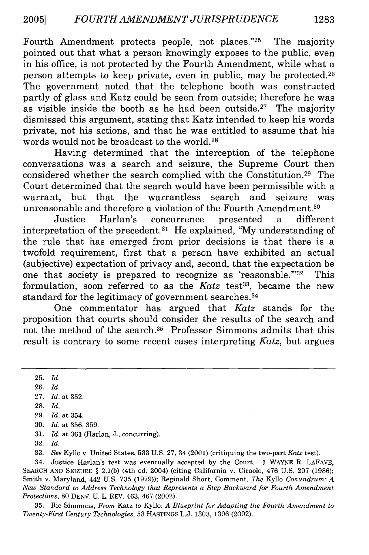Fourth Amendment protects people, not places."25 The majority pointed out that what a person knowingly exposes to the public, even in his office, is not protected by the Fourth Amendment, while what a person attempts to keep private, even in public, may be protected.<sup>26</sup> The government noted that the telephone booth was constructed partly of glass and Katz could be seen from outside; therefore he was as visible inside the booth as he had been outside.<sup>27</sup> The majority dismissed this argument, stating that Katz intended to keep his words private, not his actions, and that he was entitled to assume that his words would not be broadcast to the world.28

Having determined that the interception of the telephone conversations was a search and seizure, the Supreme Court then considered whether the search complied with the Constitution.29 The Court determined that the search would have been permissible with a warrant, but that the warrantless search and seizure was unreasonable and therefore a violation of the Fourth Amendment.<sup>30</sup>

Justice Harlan's concurrence presented a different interpretation of the precedent.<sup>31</sup> He explained, "My understanding of the rule that has emerged from prior decisions is that there is a twofold requirement, first that a person have exhibited an actual (subjective) expectation of privacy and, second, that the expectation be one that society is prepared to recognize as 'reasonable."<sup>32</sup> This formulation, soon referred to as the *Katz* test<sup>33</sup>, became the new standard for the legitimacy of government searches. <sup>34</sup>

One commentator has argued that *Katz* stands for the proposition that courts should consider the results of the search and not the method of the search.35 Professor Simmons admits that this result is contrary to some recent cases interpreting *Katz,* but argues

25. *Id.*

- 27. *Id.* at 352.
- 28. *Id.*
- 29. *Id.* at 354.
- 30. *Id.* at 356, 359.
- 31. *Id.* at 361 (Harlan, J., concurring).
- 32. *Id.*

33. *See* Kyllo v. United States, 533 U.S. 27, 34 (2001) (critiquing the two-part *Katz* test).

34. Justice Harlan's test was eventually accepted by the Court. 1 WAYNE R. LAFAVE, SEARCH AND SEIZURE § 2.1(b) (4th ed. 2004) (citing California v. Ciraolo, 476 U.S. 207 (1986); Smith v. Maryland, 442 U.S. 735 (1979)); Reginald Short, Comment, *The* Kyllo *Conundrum: A New Standard to Address Technology that Represents a Step Backward for Fourth Amendment Protections,* 80 DENV. U. L. REV. 463, 467 (2002).

35. Ric Simmons, *From* Katz *to* Kyllo: *A Blueprint for Adapting the Fourth Amendment to Twenty-First Century Technologies,* 53 HASTINGS L.J. 1303, 1306 (2002).

<sup>26.</sup> *Id.*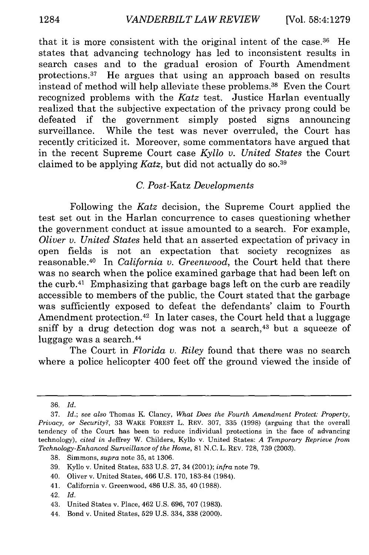that it is more consistent with the original intent of the case.36 He states that advancing technology has led to inconsistent results in search cases and to the gradual erosion of Fourth Amendment protections. 37 He argues that using an approach based on results instead of method will help alleviate these problems.38 Even the Court recognized problems with the *Katz* test. Justice Harlan eventually realized that the subjective expectation of the privacy prong could be defeated if the government simply posted signs announcing surveillance. While the test was never overruled, the Court has recently criticized it. Moreover, some commentators have argued that in the recent Supreme Court case *Kyllo v. United States* the Court claimed to be applying *Katz,* but did not actually do so. <sup>39</sup>

### *C.* Post-Katz *Developments*

Following the *Katz* decision, the Supreme Court applied the test set out in the Harlan concurrence to cases questioning whether the government conduct at issue amounted to a search. For example, *Oliver v. United States* held that an asserted expectation of privacy in open fields is not an expectation that society recognizes as reasonable.40 In *California v. Greenwood,* the Court held that there was no search when the police examined garbage that had been left on the curb.41 Emphasizing that garbage bags left on the curb are readily accessible to members of the public, the Court stated that the garbage was sufficiently exposed to defeat the defendants' claim to Fourth Amendment protection.<sup>42</sup> In later cases, the Court held that a luggage sniff by a drug detection dog was not a search, $43$  but a squeeze of luggage was a search.<sup>44</sup>

The Court in *Florida v. Riley* found that there was no search where a police helicopter 400 feet off the ground viewed the inside of

- 40. Oliver v. United States, 466 U.S. 170, 183-84 (1984).
- 41. California v. Greenwood, 486 U.S. 35, 40 (1988).
- 42. *Id.*
- 43. United States v. Place, 462 U.S. 696, 707 (1983).
- 44. Bond v. United States, 529 U.S. 334, 338 (2000).

<sup>36.</sup> *Id.*

<sup>37.</sup> *Id.; see also* Thomas K. Clancy, *What Does the Fourth Amendment Protect: Property, Privacy, or Security?,* 33 WAKE FOREST L. REV. 307, 335 (1998) (arguing that the overall tendency of the Court has been to reduce individual protections in the face of advancing technology), *cited in* Jeffrey W. Childers, Kyllo v. United States: *A Temporary Reprieve from Technology-Enhanced Surveillance of the Home,* **81** N.C. L. REV. 728, 739 (2003).

<sup>38.</sup> Simmons, *supra* note 35, at 1306.

<sup>39.</sup> Kyllo v. United States, 533 U.S. 27, 34 (2001); *infra* note 79.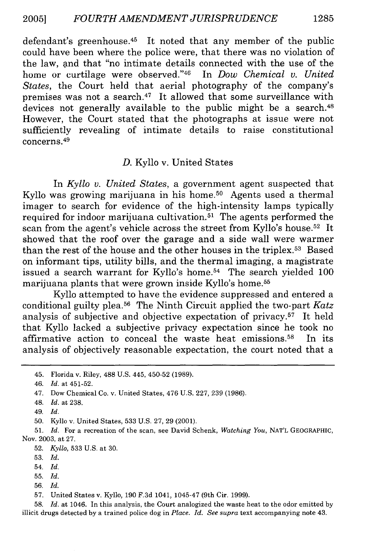defendant's greenhouse.<sup>45</sup> It noted that any member of the public could have been where the police were, that there was no violation of the law, and that "no intimate details connected with the use of the home or curtilage were observed."46 In *Dow Chemical v. United States,* the Court held that aerial photography of the company's premises was not a search. 47 It allowed that some surveillance with devices not generally available to the public might be a search.<sup>48</sup> However, the Court stated that the photographs at issue were not sufficiently revealing of intimate details to raise constitutional concerns. 49

#### *D.* Kyllo v. United States

In *Kyllo v. United States,* a government agent suspected that Kyllo was growing marijuana in his home.<sup>50</sup> Agents used a thermal imager to search for evidence of the high-intensity lamps typically required for indoor marijuana cultivation.51 The agents performed the scan from the agent's vehicle across the street from Kyllo's house.<sup>52</sup> It showed that the roof over the garage and a side wall were warmer than the rest of the house and the other houses in the triplex.53 Based on informant tips, utility bills, and the thermal imaging, a magistrate issued a search warrant for Kyllo's home.<sup>54</sup> The search yielded 100 marijuana plants that were grown inside Kyllo's home.55

Kyllo attempted to have the evidence suppressed and entered a conditional guilty plea. 56 The Ninth Circuit applied the two-part *Katz* analysis of subjective and objective expectation of privacy.57 It held that Kyllo lacked a subjective privacy expectation since he took no affirmative action to conceal the waste heat emissions. 58 In its analysis of objectively reasonable expectation, the court noted that a

58. *Id.* at 1046. In this analysis, the Court analogized the waste heat to the odor emitted by illicit drugs detected by a trained police dog in *Place. Id. See supra* text accompanying note 43.

<sup>45.</sup> Florida v. Riley, 488 U.S. 445, 450-52 (1989).

<sup>46.</sup> *Id.* at 451-52.

<sup>47.</sup> Dow Chemical Co. v. United States, 476 U.S. 227, 239 (1986).

<sup>48.</sup> *Id.* at 238.

<sup>49.</sup> *Id.*

<sup>50.</sup> Kyllo v. United States, 533 U.S. 27, 29 (2001).

<sup>51.</sup> *Id.* For a recreation of the scan, see David Schenk, *Watching You,* NAT'L GEOGRAPHIC, Nov. 2003, at 27.

<sup>52.</sup> *Kyllo,* 533 U.S. at 30.

<sup>53.</sup> *Id.*

<sup>54.</sup> *Id.*

<sup>55.</sup> *Id.*

<sup>56.</sup> *Id.*

<sup>57.</sup> United States v. Kyllo, 190 F.3d 1041, 1045-47 (9th Cir. 1999).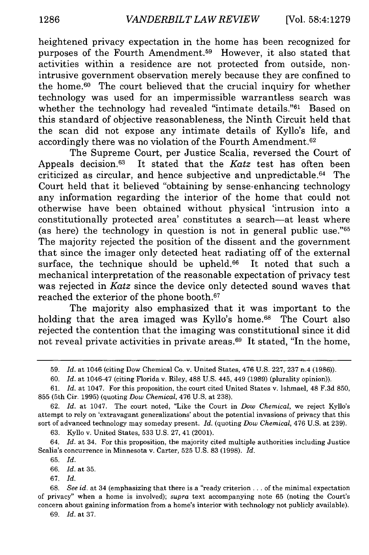heightened privacy expectation in the home has been recognized for purposes of the Fourth Amendment.59 However, it also stated that activities within a residence are not protected from outside, nonintrusive government observation merely because they are confined to the home. 60 The court believed that the crucial inquiry for whether technology was used for an impermissible warrantless search was whether the technology had revealed "intimate details."<sup>61</sup> Based on this standard of objective reasonableness, the Ninth Circuit held that the scan did not expose any intimate details of Kyllo's life, and accordingly there was no violation of the Fourth Amendment. <sup>62</sup>

The Supreme Court, per Justice Scalia, reversed the Court of Appeals decision.63 It stated that the *Katz* test has often been criticized as circular, and hence subjective and unpredictable. 64 The Court held that it believed "obtaining by sense-enhancing technology any information regarding the interior of the home that could not otherwise have been obtained without physical 'intrusion into a constitutionally protected area' constitutes a search-at least where (as here) the technology in question is not in general public use."65 The majority rejected the position of the dissent and the government that since the imager only detected heat radiating off of the external surface, the technique should be upheld.<sup>66</sup> It noted that such a mechanical interpretation of the reasonable expectation of privacy test was rejected in *Katz* since the device only detected sound waves that reached the exterior of the phone booth. <sup>67</sup>

The majority also emphasized that it was important to the holding that the area imaged was Kyllo's home.<sup>68</sup> The Court also rejected the contention that the imaging was constitutional since it did not reveal private activities in private areas.69 It stated, "In the home,

63. Kyllo v. United States, 533 U.S. 27, 41 (2001).

64. *Id.* at 34. For this proposition, the majority cited multiple authorities including Justice Scalia's concurrence in Minnesota v. Carter, 525 U.S. 83 (1998). *Id.*

67. *Id.*

<sup>59.</sup> *Id.* at 1046 (citing Dow Chemical Co. v. United States, 476 U.S. 227, 237 n.4 (1986)).

<sup>60.</sup> *Id.* at 1046-47 (citing Florida v. Riley, 488 U.S. 445, 449 (1989) (plurality opinion)).

<sup>61.</sup> *Id.* at 1047. For this proposition, the court cited United States v. Ishmael, 48 F.3d 850, 855 (5th Cir. 1995) (quoting *Dow Chemical,* 476 U.S. at 238).

<sup>62.</sup> *Id.* at 1047. The court noted, "Like the Court in *Dow Chemical,* we reject Kyllo's attempt to rely on 'extravagant generalizations' about the potential invasions of privacy that this sort of advanced technology may someday present. *Id.* (quoting *Dow Chemical,* 476 U.S. at 239).

<sup>65.</sup> *Id.*

<sup>66.</sup> *Id.* at 35.

<sup>68.</sup> *See id.* at 34 (emphasizing that there is a "ready criterion.., of the minimal expectation of privacy" when a home is involved); *supra* text accompanying note 65 (noting the Court's concern about gaining information from a home's interior with technology not publicly available).

<sup>69.</sup> *Id.* at 37.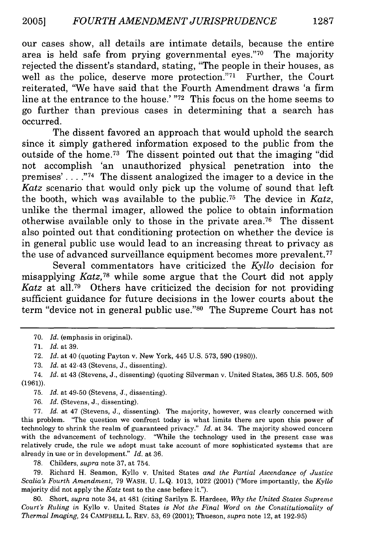our cases show, all details are intimate details, because the entire area is held safe from prying governmental eyes."70 The majority rejected the dissent's standard, stating, "The people in their houses, as well as the police, deserve more protection."71 Further, the Court reiterated, "We have said that the Fourth Amendment draws 'a firm line at the entrance to the house.'"72 This focus on the home seems to go further than previous cases in determining that a search has occurred.

The dissent favored an approach that would uphold the search since it simply gathered information exposed to the public from the outside of the home.<sup>73</sup> The dissent pointed out that the imaging "did" not accomplish 'an unauthorized physical penetration into the premises' **. . .** .74 The dissent analogized the imager to a device in the *Katz* scenario that would only pick up the volume of sound that left the booth, which was available to the public.<sup>75</sup> The device in *Katz*, unlike the thermal imager, allowed the police to obtain information otherwise available only to those in the private area.<sup>76</sup> The dissent also pointed out that conditioning protection on whether the device is in general public use would lead to an increasing threat to privacy as the use of advanced surveillance equipment becomes more prevalent.<sup>77</sup>

Several commentators have criticized the *Kyllo* decision for misapplying *Katz*,<sup>78</sup> while some argue that the Court did not apply *Katz* at all.<sup>79</sup> Others have criticized the decision for not providing sufficient guidance for future decisions in the lower courts about the term "device not in general public use."80 The Supreme Court has not

75. *Id.* at 49-50 (Stevens, J., dissenting).

76. *Id.* (Stevens, J., dissenting).

77. *Id.* at 47 (Stevens, J., dissenting). The majority, however, was clearly concerned with this problem. "The question we confront today is what limits there are upon this power of technology to shrink the realm of guaranteed privacy." *Id.* at 34. The majority showed concern with the advancement of technology. "While the technology used in the present case was relatively crude, the rule we adopt must take account of more sophisticated systems that are already in use or in development." *Id.* at 36.

78. Childers, *supra* note 37, at 754.

79. Richard H. Seamon, Kyllo v. United States *and the Partial Ascendance of Justice Scalia's Fourth Amendment,* 79 WASH. U. L.Q. 1013, 1022 (2001) ("More importantly, the *Kyllo* majority did not apply the *Katz* test to the case before it.").

80. Short, *supra* note 34, at 481 (citing Sarilyn E. Hardeee, *Why the United States Supreme Court's Ruling in* Kyllo v. United States *is Not the Final Word on the Constitutionality of Thermal Imaging,* 24 CAMPBELL L. REV. 53, 69 (2001); Thueson, *supra* note 12, at 192-95)

<sup>70.</sup> *Id.* (emphasis in original).

<sup>71.</sup> *Id.* at 39.

<sup>72.</sup> *Id.* at 40 (quoting Payton v. New York, 445 U.S. 573, 590 (1980)).

<sup>73.</sup> *Id.* at 42-43 (Stevens, J., dissenting).

<sup>74.</sup> *Id.* at 43 (Stevens, J., dissenting) (quoting Silverman v. United States, 365 U.S. 505, 509 (1961)).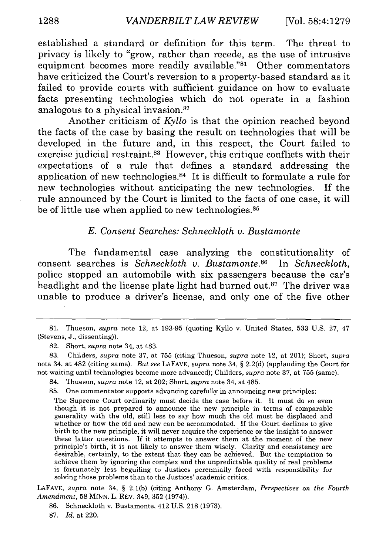established a standard or definition for this term. The threat to privacy is likely to "grow, rather than recede, as the use of intrusive equipment becomes more readily available."81 Other commentators have criticized the Court's reversion to a property-based standard as it failed to provide courts with sufficient guidance on how to evaluate facts presenting technologies which do not operate in a fashion analogous to a physical invasion.<sup>82</sup>

Another criticism of *Kyllo* is that the opinion reached beyond the facts of the case by basing the result on technologies that will be developed in the future and, in this respect, the Court failed to exercise judicial restraint.<sup>83</sup> However, this critique conflicts with their expectations of a rule that defines a standard addressing the application of new technologies. $84$  It is difficult to formulate a rule for new technologies without anticipating the new technologies. If the rule announced by the Court is limited to the facts of one case, it will be of little use when applied to new technologies.<sup>85</sup>

#### *E. Consent Searches: Schneckloth v. Bustamonte*

The fundamental case analyzing the constitutionality of consent searches is *Schneckloth v. Bustamonte.s6* In *Schneckloth,* police stopped an automobile with six passengers because the car's headlight and the license plate light had burned out.<sup>87</sup> The driver was unable to produce a driver's license, and only one of the five other

LAFAVE, *supra* note 34, § 2.1(b) (citing Anthony G. Amsterdam, *Perspectives on the Fourth Amendment,* 58 MINN. L. REV. 349, 352 (1974)).

- 86. Schneckloth v. Bustamonte, 412 U.S. 218 (1973).
- 87. *Id.* at 220.

<sup>81.</sup> Thueson, *supra* note 12, at 193-95 (quoting Kyllo v. United States, 533 U.S. 27, 47 (Stevens, J., dissenting)).

<sup>82.</sup> Short, *supra* note 34, at 483.

<sup>83.</sup> Childers, *supra* note 37, at 755 (citing Thueson, *supra* note 12, at 201); Short, *supra* note 34, at 482 (citing same). *But see* LAFAVE, *supra* note 34, § 2.2(d) (applauding the Court for not waiting until technologies become more advanced); Childers, *supra* note 37, at 755 (same).

<sup>84.</sup> Thueson, *supra* note 12, at 202; Short, *supra* note 34, at 485.

<sup>85.</sup> One commentator supports advancing carefully in announcing new principles:

The Supreme Court ordinarily must decide the case before it. It must do so even though it is not prepared to announce the new principle in terms of comparable generality with the old, still less to say how much the old must be displaced and whether or how the old and new can be accommodated. If the Court declines to give birth to the new principle, it will never acquire the experience or the insight to answer these latter questions. If it attempts to answer them at the moment of the new principle's birth, it is not likely to answer them wisely. Clarity and consistency are desirable, certainly, to the extent that they can be achieved. But the temptation to achieve them by ignoring the complex and the unpredictable quality of real problems is fortunately less beguiling to Justices perennially faced with responsibility for solving those problems than to the Justices' academic critics.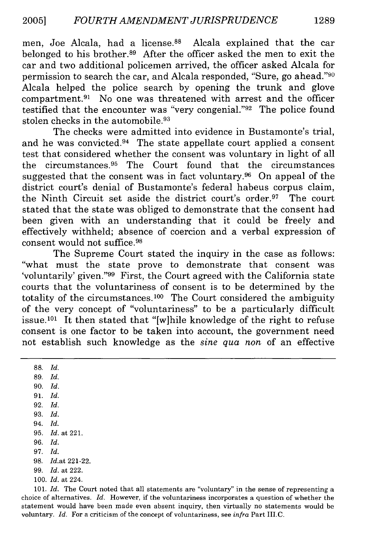men, Joe Alcala, had a license.<sup>88</sup> Alcala explained that the car belonged to his brother.<sup>89</sup> After the officer asked the men to exit the car and two additional policemen arrived, the officer asked Alcala for permission to search the car, and Alcala responded, "Sure, go ahead."<sup>90</sup> Alcala helped the police search by opening the trunk and glove compartment.<sup>91</sup> No one was threatened with arrest and the officer testified that the encounter was "very congenial." <sup>92</sup> The police found stolen checks in the automobile. <sup>93</sup>

The checks were admitted into evidence in Bustamonte's trial, and he was convicted.<sup>94</sup> The state appellate court applied a consent test that considered whether the consent was voluntary in light of all the circumstances. 95 The Court found that the circumstances suggested that the consent was in fact voluntary.<sup>96</sup> On appeal of the district court's denial of Bustamonte's federal habeus corpus claim, the Ninth Circuit set aside the district court's order. 97 The court stated that the state was obliged to demonstrate that the consent had been given with an understanding that it could be freely and effectively withheld; absence of coercion and a verbal expression of consent would not suffice. <sup>98</sup>

The Supreme Court stated the inquiry in the case as follows: "what must the state prove to demonstrate that consent was 'voluntarily' given."99 First, the Court agreed with the California state courts that the voluntariness of consent is to be determined by the totality of the circumstances.100 The Court considered the ambiguity of the very concept of "voluntariness" to be a particularly difficult issue.<sup>101</sup> It then stated that "[w]hile knowledge of the right to refuse consent is one factor to be taken into account, the government need not establish such knowledge as the *sine qua non* of an effective

88. *Id.* 89. *Id.* 90. *Id.* 91. *Id.* 92. *Id.* 93. *Id.* 94. *Id.* 95. *Id.* at 221. 96. *Id.* 97. *Id.* 98. *Id.at* 221-22. 99. *Id.* at 222. 100. *Id.* at 224.

101. *Id.* The Court noted that all statements are "voluntary" in the sense of representing a choice of alternatives. *Id.* However, if the voluntariness incorporates a question of whether the statement would have been made even absent inquiry, then virtually no statements would be voluntary. *Id.* For a criticism of the concept of voluntariness, see *infra* Part IlI.C.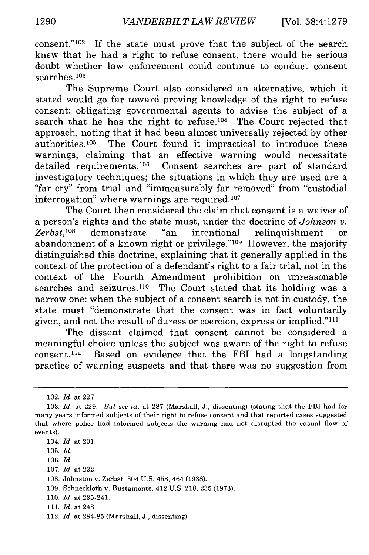consent." $102$  If the state must prove that the subject of the search knew that he had a right to refuse consent, there would be serious doubt whether law enforcement could continue to conduct consent searches.103

The Supreme Court also considered an alternative, which it stated would go far toward proving knowledge of the right to refuse consent: obligating governmental agents to advise the subject of a search that he has the right to refuse.<sup>104</sup> The Court rejected that approach, noting that it had been almost universally rejected by other authorities.<sup>105</sup> The Court found it impractical to introduce these warnings, claiming that an effective warning would necessitate detailed requirements.<sup>106</sup> Consent searches are part of standard investigatory techniques; the situations in which they are used are a "far cry" from trial and "immeasurably far removed" from "custodial interrogation" where warnings are required.<sup>107</sup>

The Court then considered the claim that consent is a waiver of a person's rights and the state must, under the doctrine of *Johnson v. Zerbst, <sup>08</sup>*demonstrate "an intentional relinquishment or abandonment of a known right or privilege." $109$  However, the majority distinguished this doctrine, explaining that it generally applied in the context of the protection of a defendant's right to a fair trial, not in the context of the Fourth Amendment prohibition on unreasonable searches and seizures.<sup>110</sup> The Court stated that its holding was a narrow one: when the subject of a consent search is not in custody, the state must "demonstrate that the consent was in fact voluntarily given, and not the result of duress or coercion, express or implied."<sup>111</sup>

The dissent claimed that consent cannot be considered a meaningful choice unless the subject was aware of the right to refuse  $constant$ <sup>112</sup> Based on evidence that the FBI had a longstanding practice of warning suspects and that there was no suggestion from

<sup>102.</sup> *Id.* at 227.

<sup>103.</sup> *Id.* at 229. *But see id.* at 287 (Marshall, J., dissenting) (stating that the FBI had for many years informed subjects of their right to refuse consent and that reported cases suggested that where police had informed subjects the warning had not disrupted the casual flow of events).

<sup>104.</sup> *Id.* at 231.

<sup>105.</sup> *Id.*

<sup>106.</sup> *Id.*

<sup>107.</sup> *Id.* at 232.

<sup>108.</sup> Johnston v. Zerbst, 304 U.S. 458, 464 (1938).

<sup>109.</sup> Schneckloth v. Bustamonte, 412 U.S. 218, 235 (1973).

<sup>110.</sup> *Id.* at 235-241.

**<sup>111.</sup>** Id. at 248.

<sup>112.</sup> *Id.* at 284-85 (Marshall, J., dissenting).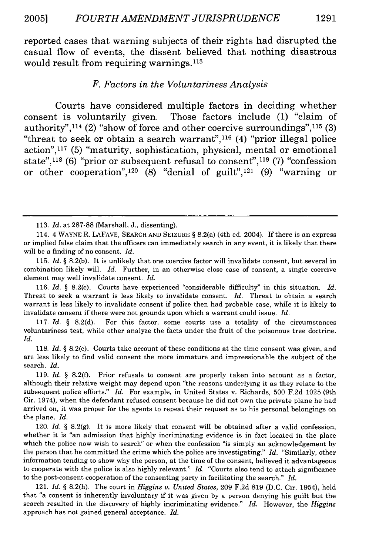reported cases that warning subjects of their rights had disrupted the casual flow of events, the dissent believed that nothing disastrous would result from requiring warnings.<sup>113</sup>

#### *F. Factors in the Voluntariness Analysis*

Courts have considered multiple factors in deciding whether consent is voluntarily given. Those factors include (1) "claim of authority",  $114$  (2) "show of force and other coercive surroundings",  $115$  (3) "threat to seek or obtain a search warrant",116 (4) "prior illegal police action", 117 (5) "maturity, sophistication, physical, mental or emotional state",118 (6) "prior or subsequent refusal to consent",119 (7) "confession or other cooperation",<sup>120</sup> (8) "denial of guilt",<sup>121</sup> (9) "warning or

117. *Id. §* 8.2(d). For this factor, some courts use a totality of the circumstances voluntariness test, while other analyze the facts under the fruit of the poisonous tree doctrine. *Id.*

<sup>113.</sup> *Id.* at 287-88 (Marshall, J., dissenting).

<sup>114. 4</sup> WAYNE R. LAFAVE, SEARCH AND SEIZURE § 8.2(a) (4th ed. 2004). If there is an express or implied false claim that the officers can immediately search in any event, it is likely that there will be a finding of no consent. *Id.*

<sup>115.</sup> *Id. §* 8.2(b). It is unlikely that one coercive factor will invalidate consent, but several in combination likely will. *Id.* Further, in an otherwise close case of consent, a single coercive element may well invalidate consent. *Id.*

<sup>116.</sup> *Id. §* 8.2(c). Courts have experienced "considerable difficulty" in this situation. *Id.* Threat to seek a warrant is less likely to invalidate consent. *Id.* Threat to obtain a search warrant is less likely to invalidate consent if police then had probable case, while it is likely to invalidate consent if there were not grounds upon which a warrant could issue. *Id.*

<sup>118.</sup> *Id. §* 8.2(e). Courts take account of these conditions at the time consent was given, and are less likely to find valid consent the more immature and impressionable the subject of the search. Id.

<sup>119.</sup> *Id. §* 8.2(f). Prior refusals to consent are properly taken into account as a factor, although their relative weight may depend upon "the reasons underlying it as they relate to the subsequent police efforts." *Id.* For example, in United States v. Richards, 500 F.2d 1025 (9th Cir. 1974), when the defendant refused consent because he did not own the private plane he had arrived on, it was proper for the agents to repeat their request as to his personal belongings on the plane. *Id.*

<sup>120.</sup> *Id. §* 8.2(g). It is more likely that consent will be obtained after a valid confession, whether it is "an admission that highly incriminating evidence is in fact located in the place which the police now wish to search" or when the confession "is simply an acknowledgement by the person that he committed the crime which the police are investigating." *Id.* "Similarly, other information tending to show why the person, at the time of the consent, believed it advantageous to cooperate with the police is also highly relevant." *Id.* "Courts also tend to attach significance to the post-consent cooperation of the consenting party in facilitating the search." *Id.*

<sup>121.</sup> *Id. §* 8.2(h). The court in *Higgins* v. *United States,* 209 F.2d 819 (D.C. Cir. 1954), held that "a consent is inherently involuntary if it was given by a person denying his guilt but the search resulted in the discovery of highly incriminating evidence." *Id.* However, the *Higgins* approach has not gained general acceptance. *Id.*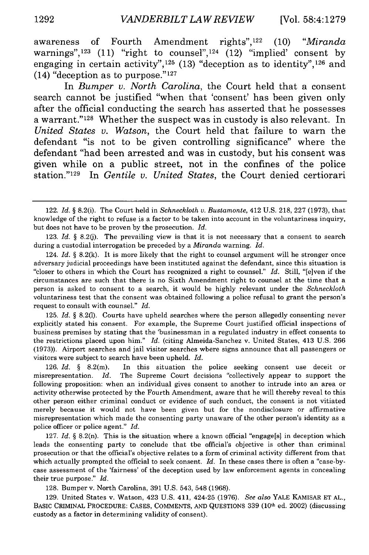awareness of Fourth Amendment rights",122 (10) *"Miranda* warnings",  $123$  (11) "right to counsel",  $124$  (12) "implied" consent by engaging in certain activity",  $125$  (13) "deception as to identity",  $126$  and (14) "deception as to purpose." $127$ 

In *Bumper v. North Carolina,* the Court held that a consent search cannot be justified "when that 'consent' has been given only after the official conducting the search has asserted that he possesses a warrant." 128 Whether the suspect was in custody is also relevant. In *United States v. Watson,* the Court held that failure to warn the defendant "is not to be given controlling significance" where the defendant "had been arrested and was in custody, but his consent was given while on a public street, not in the confines of the police station."129 In *Gentile v. United States,* the Court denied certiorari

123. *Id.* § 8.2(j). The prevailing view is that it is not necessary that a consent to search during a custodial interrogation be preceded by a *Miranda* warning. *Id.*

124. *Id.* § 8.2(k). It is more likely that the right to counsel argument will be stronger once adversary judicial proceedings have been instituted against the defendant, since this situation is "closer to others in which the Court has recognized a right to counsel." *Id.* Still, "[e]ven if the circumstances are such that there is no Sixth Amendment right to counsel at the time that a person is asked to consent to a search, it would be highly relevant under the *Schneckloth* voluntariness test that the consent was obtained following a police refusal to grant the person's request to consult with counsel." *Id.*

125. *Id.* § 8.2(1). Courts have upheld searches where the person allegedly consenting never explicitly stated his consent. For example, the Supreme Court justified official inspections of business premises by stating that the 'businessman in a regulated industry in effect consents to the restrictions placed upon him." *Id.* (citing Almeida-Sanchez v. United States, 413 U.S. 266 (1973)). Airport searches and jail visitor searches where signs announce that all passengers or visitors were subject to search have been upheld. *Id.*

126. *Id.* § 8.2(m). In this situation the police seeking consent use deceit or misrepresentation. *Id.* The Supreme Court decisions "collectively appear to support the following proposition: when an individual gives consent to another to intrude into an area or activity otherwise protected by the Fourth Amendment, aware that he will thereby reveal to this other person either criminal conduct or evidence of such conduct, the consent is not vitiated merely because it would not have been given but for the nondisclosure or affirmative misrepresentation which made the consenting party unaware of the other person's identity as a police officer or police agent." *Id.*

127. *Id.* § 8.2(n). This is the situation where a known official "engage[s] in deception which leads the consenting party to conclude that the official's objective is other than criminal prosecution or that the official's objective relates to a form of criminal activity different from that which actually prompted the official to seek consent. *Id.* In these cases there is often a "case-bycase assessment of the 'fairness' of the deception used by law enforcement agents in concealing their true purpose." *Id.*

128. Bumper v. North Carolina, 391 U.S. 543, 548 (1968).

129. United States v. Watson, 423 U.S. 411, 424-25 (1976). *See also* YALE KAMISAR ET AL., BASIC CRIMINAL PROCEDURE: CASES, COMMENTS, AND QUESTIONS 339 (10<sup>th</sup> ed. 2002) (discussing custody as a factor in determining validity of consent).

<sup>122.</sup> *Id.* § 8.2(i). The Court held in *Schneckloth v. Bustamonte,* 412 U.S. 218, 227 (1973), that knowledge of the right to refuse is a factor to be taken into account in the voluntariness inquiry, but does not have to be proven by the prosecution. *Id.*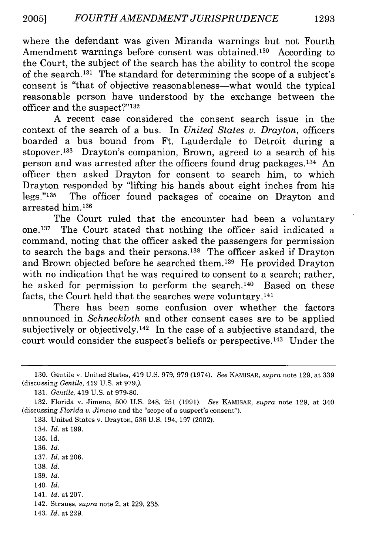where the defendant was given Miranda warnings but not Fourth Amendment warnings before consent was obtained.<sup>130</sup> According to the Court, the subject of the search has the ability to control the scope of the search. 131 The standard for determining the scope of a subject's consent is "that of objective reasonableness--what would the typical reasonable person have understood by the exchange between the officer and the suspect?"<sup>132</sup>

A recent case considered the consent search issue in the context of the search of a bus. In *United States v. Drayton,* officers boarded a bus bound from Ft. Lauderdale to Detroit during a stopover.133 Drayton's companion, Brown, agreed to a search of his person and was arrested after the officers found drug packages.<sup>134</sup> An officer then asked Drayton for consent to search him, to which Drayton responded by "lifting his hands about eight inches from his legs."<sup>135</sup> The officer found packages of cocaine on Drayton and arrested him.<sup>136</sup>

The Court ruled that the encounter had been a voluntary one. 137 The Court stated that nothing the officer said indicated a command, noting that the officer asked the passengers for permission to search the bags and their persons.<sup>138</sup> The officer asked if Drayton and Brown objected before he searched them. 139 He provided Drayton with no indication that he was required to consent to a search; rather, he asked for permission to perform the search.<sup>140</sup> Based on these facts, the Court held that the searches were voluntary.<sup>141</sup>

There has been some confusion over whether the factors announced in *Schneckloth* and other consent cases are to be applied subjectively or objectively.<sup>142</sup> In the case of a subjective standard, the court would consider the suspect's beliefs or perspective.<sup>143</sup> Under the

133. United States v. Drayton, 536 U.S. 194, 197 (2002).

- **138.** *Id.*
- 139. *Id.*

141. *Id.* at 207.

<sup>130.</sup> Gentile v. United States, 419 U.S. 979, 979 (1974). *See* KAMISAR, *supra* note 129, at 339 (discussing *Gentile,* 419 U.S. at 979.).

<sup>131.</sup> *Gentile,* 419 U.S. at 979-80.

<sup>132.</sup> Florida v. Jimeno, 500 U.S. 248, 251 (1991). *See* KAMISAR, *supra* note 129, at 340 (discussing *Florida v. Jimeno* and the "scope of a suspect's consent").

<sup>134.</sup> *Id.* at 199.

<sup>135.</sup> Id.

<sup>136.</sup> *Id.*

<sup>137.</sup> *Id.* at 206.

<sup>140.</sup> *Id.*

<sup>142.</sup> Strauss, *supra* note 2, at 229, 235.

<sup>143.</sup> *Id.* at 229.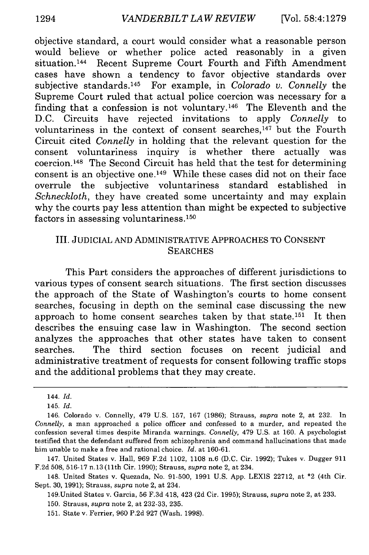objective standard, a court would consider what a reasonable person would believe or whether police acted reasonably in a given situation. 144 Recent Supreme Court Fourth and Fifth Amendment cases have shown a tendency to favor objective standards over subjective standards. 145 For example, in *Colorado v. Connelly* the Supreme Court ruled that actual police coercion was necessary for a finding that a confession is not voluntary.<sup>146</sup> The Eleventh and the D.C. Circuits have rejected invitations to apply *Connelly* to voluntariness in the context of consent searches, $147$  but the Fourth Circuit cited *Connelly* in holding that the relevant question for the consent voluntariness inquiry is whether there actually was coercion.1 48 The Second Circuit has held that the test for determining consent is an objective one. 149 While these cases did not on their face overrule the subjective voluntariness standard established in *Schneckloth,* they have created some uncertainty and may explain why the courts pay less attention than might be expected to subjective factors in assessing voluntariness. <sup>1</sup> 50

## III. JUDICIAL AND ADMINISTRATIVE APPROACHES TO CONSENT **SEARCHES**

This Part considers the approaches of different jurisdictions to various types of consent search situations. The first section discusses the approach of the State of Washington's courts to home consent searches, focusing in depth on the seminal case discussing the new approach to home consent searches taken by that state. 151 It then describes the ensuing case law in Washington. The second section analyzes the approaches that other states have taken to consent searches. The third section focuses on recent judicial and administrative treatment of requests for consent following traffic stops and the additional problems that they may create.

147. United States v. Hall, 969 F.2d 1102, 1108 n.6 (D.C. Cir. 1992); Tukes v. Dugger 911 F.2d 508, 516-17 n.13 (11th Cir. 1990); Strauss, *supra* note 2, at 234.

148. United States v. Quezada, No. 91-500, 1991 U.S. App. LEXIS 22712, at \*2 (4th Cir. Sept. 30, 1991); Strauss, *supra* note 2, at 234.

149.United States v. Garcia, 56 F.3d 418, 423 (2d Cir. 1995); Strauss, *supra* note 2, at 233.

150. Strauss, *supra* note 2, at 232-33, 235.

151. State v. Ferrier, 960 P.2d 927 (Wash. 1998).

<sup>144.</sup> *Id.*

<sup>145.</sup> *Id.*

<sup>146.</sup> Colorado v. Connelly, 479 U.S. 157, 167 (1986); Strauss, *supra* note 2, at 232. In *Connelly,* a man approached a police officer and confessed to a murder, and repeated the confession several times despite Miranda warnings. *Connelly,* 479 U.S. at 160. A psychologist testified that the defendant suffered from schizophrenia and command hallucinations that made him unable to make a free and rational choice. *Id.* at 160-61.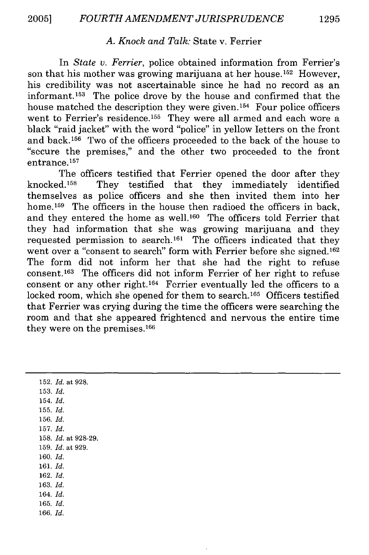## *A. Knock and Talk:* State v. Ferrier

In *State v. Ferrier,* police obtained information from Ferrier's son that his mother was growing marijuana at her house.<sup>152</sup> However, his credibility was not ascertainable since he had no record as an informant. 153 The police drove by the house and confirmed that the house matched the description they were given.<sup>154</sup> Four police officers went to Ferrier's residence.<sup>155</sup> They were all armed and each wore a black "raid jacket" with the word "police" in yellow letters on the front and back. 156 Two of the officers proceeded to the back of the house to "secure the premises," and the other two proceeded to the front entrance.157

The officers testified that Ferrier opened the door after they knocked.'58 They testified that they immediately identified themselves as police officers and she then invited them into her home.<sup>159</sup> The officers in the house then radioed the officers in back, and they entered the home as well.<sup>160</sup> The officers told Ferrier that they had information that she was growing marijuana and they requested permission to search.<sup>161</sup> The officers indicated that they went over a "consent to search" form with Ferrier before she signed.<sup>162</sup> The form did not inform her that she had the right to refuse consent. 63 The officers did not inform Ferrier of her right to refuse consent or any other right. 164 Ferrier eventually led the officers to a locked room, which she opened for them to search.<sup>165</sup> Officers testified that Ferrier was crying during the time the officers were searching the room and that she appeared frightened and nervous the entire time they were on the premises. $166$ 

152. *Id.* at 928. 153. *Id.* 154. *Id.* 155. *Id.* 156. *Id.* 157. *Id.* 158. *Id.* at 928-29. 159. *Id.* at 929. 160. *Id.* 161. *Id.* 162. *Id.* 163. *Id.* 164. *Id.* 165. *Id.* 166. *Id.*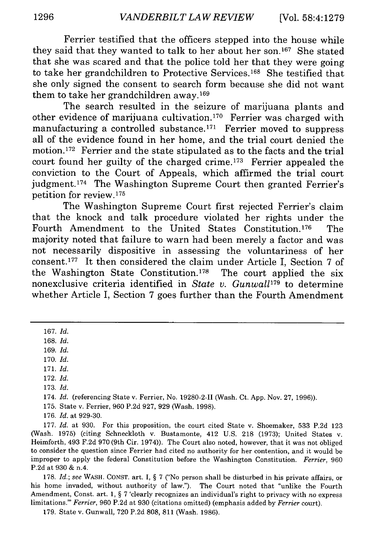Ferrier testified that the officers stepped into the house while they said that they wanted to talk to her about her son.167 She stated that she was scared and that the police told her that they were going to take her grandchildren to Protective Services. 168 She testified that she only signed the consent to search form because she did not want them to take her grandchildren away. 169

The search resulted in the seizure of marijuana plants and other evidence of marijuana cultivation. 170 Ferrier was charged with manufacturing a controlled substance.<sup>171</sup> Ferrier moved to suppress all of the evidence found in her home, and the trial court denied the motion. 172 Ferrier and the state stipulated as to the facts and the trial court found her guilty of the charged crime.<sup>173</sup> Ferrier appealed the conviction to the Court of Appeals, which affirmed the trial court judgment.<sup>174</sup> The Washington Supreme Court then granted Ferrier's petition for review. <sup>175</sup>

The Washington Supreme Court first rejected Ferrier's claim that the knock and talk procedure violated her rights under the Fourth Amendment to the United States Constitution.<sup>176</sup> The majority noted that failure to warn had been merely a factor and was not necessarily dispositive in assessing the voluntariness of her consent.177 It then considered the claim under Article I, Section 7 of the Washington State Constitution.<sup>178</sup> The court applied the six nonexclusive criteria identified in *State v. Gunwall*<sup>179</sup> to determine whether Article I, Section 7 goes further than the Fourth Amendment

167. *Id.*

168. *Id.*

169. *Id.*

170. *Id.*

- 172. *Id.*
- 173. *Id.*

174. *Id.* (referencing State v. Ferrier, No. 19280-2-I (Wash. Ct. App. Nov. 27, 1996)).

175. State v. Ferrier, 960 P.2d 927, 929 (Wash. 1998).

176. *Id.* at 929-30.

177. *Id.* at 930. For this proposition, the court cited State v. Shoemaker, 533 P.2d 123 (Wash. 1975) (citing Schneckloth v. Bustamonte, 412 U.S. 218 (1973); United States v. Heimforth, 493 F.2d 970 (9th Cir. 1974)). The Court also noted, however, that it was not obliged to consider the question since Ferrier had cited no authority for her contention, and it would be improper to apply the federal Constitution before the Washington Constitution. *Ferrier,* 960 P.2d at 930 & n.4.

178. *Id.;* see WASH. CONST. art. I, § 7 ("No person shall be disturbed in his private affairs, or his home invaded, without authority of law."). The Court noted that "unlike the Fourth Amendment, Const. art. 1, § 7 'clearly recognizes an individual's right to privacy with no express limitations."' *Ferrier,* 960 P.2d at 930 (citations omitted) (emphasis added by *Ferrier* court).

179. State v. Gunwall, 720 P.2d 808, 811 (Wash. 1986).

<sup>171.</sup> *Id.*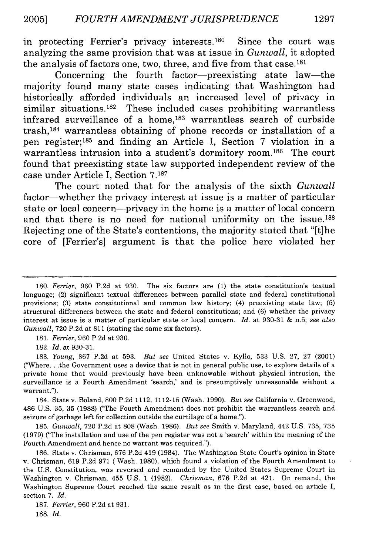in protecting Ferrier's privacy interests.180 Since the court was analyzing the same provision that was at issue in *Gunwall,* it adopted the analysis of factors one, two, three, and five from that case.181

Concerning the fourth factor-preexisting state law-the majority found many state cases indicating that Washington had historically afforded individuals an increased level of privacy in similar situations.<sup>182</sup> These included cases prohibiting warrantless infrared surveillance of a home, $183$  warrantless search of curbside trash, $184$  warrantless obtaining of phone records or installation of a pen register;<sup>185</sup> and finding an Article I, Section 7 violation in a warrantless intrusion into a student's dormitory room.<sup>186</sup> The court found that preexisting state law supported independent review of the case under Article I, Section **7.187**

The court noted that for the analysis of the sixth *Gunwall* factor-whether the privacy interest at issue is a matter of particular state or local concern-privacy in the home is a matter of local concern and that there is no need for national uniformity on the issue.188 Rejecting one of the State's contentions, the majority stated that "[t]he core of [Ferrier's] argument is that the police here violated her

181. *Ferrier,* 960 P.2d at 930.

182. *Id.* at 930-31.

183. *Young,* 867 P.2d at 593. *But see* United States v. Kyllo, 533 U.S. 27, 27 (2001) ("Where... the Government uses a device that is not in general public use, to explore details of a private home that would previously have been unknowable without physical intrusion, the surveillance is a Fourth Amendment 'search,' and is presumptively unreasonable without a warrant.").

184. State v. Boland, 800 P.2d 1112, 1112-15 (Wash. 1990). *But see* California v. Greenwood, 486 U.S. 35, 35 (1988) ("The Fourth Amendment does not prohibit the warrantless search and seizure of garbage left for collection outside the curtilage of a home.").

185. *Gunwall,* 720 P.2d at 808 (Wash. 1986). *But see* Smith v. Maryland, 442 U.S. 735, 735 (1979) ("The installation and use of the pen register was not a 'search' within the meaning of the Fourth Amendment and hence no warrant was required.").

186. State v. Chrisman, 676 P.2d 419 (1984). The Washington State Court's opinion in State v. Chrisman, 619 P.2d 971 ( Wash. 1980), which found a violation of the Fourth Amendment to the U.S. Constitution, was reversed and remanded by the United States Supreme Court in Washington v. Chrisman, 455 U.S. 1 (1982). *Chrisman,* 676 P.2d at 421. On remand, the Washington Supreme Court reached the same result as in the first case, based on article I, section 7. *Id.*

187. *Ferrier,* 960 P.2d at 931. 188. *Id.*

<sup>180.</sup> *Ferrier,* 960 P.2d at 930. The six factors are (1) the state constitution's textual language; (2) significant textual differences between parallel state and federal constitutional provisions; (3) state constitutional and common law history; (4) preexisting state law; (5) structural differences between the state and federal constitutions; and (6) whether the privacy interest at issue is a matter of particular state or local concern. *Id.* at 930-31 & n.5; *see also Gunwall,* 720 P.2d at 811 (stating the same six factors).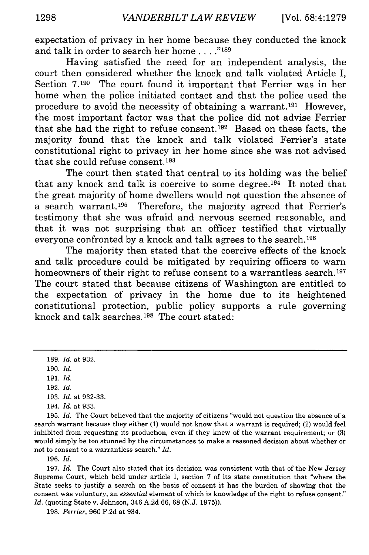expectation of privacy in her home because they conducted the knock and talk in order to search her home **. ... "189**

Having satisfied the need for an independent analysis, the court then considered whether the knock and talk violated Article I, Section 7.190 The court found it important that Ferrier was in her home when the police initiated contact and that the police used the procedure to avoid the necessity of obtaining a warrant. 191 However, the most important factor was that the police did not advise Ferrier that she had the right to refuse consent. 192 Based on these facts, the majority found that the knock and talk violated Ferrier's state constitutional right to privacy in her home since she was not advised that she could refuse consent.193

The court then stated that central to its holding was the belief that any knock and talk is coercive to some degree.<sup>194</sup> It noted that the great majority of home dwellers would not question the absence of a search warrant. 195 Therefore, the majority agreed that Ferrier's testimony that she was afraid and nervous seemed reasonable, and that it was not surprising that an officer testified that virtually everyone confronted by a knock and talk agrees to the search.196

The majority then stated that the coercive effects of the knock and talk procedure could be mitigated by requiring officers to warn homeowners of their right to refuse consent to a warrantless search.<sup>197</sup> The court stated that because citizens of Washington are entitled to the expectation of privacy in the home due to its heightened constitutional protection, public policy supports a rule governing knock and talk searches. 198 The court stated:

- 193. *Id.* at 932-33.
- 194. *Id.* at 933.

195. *Id.* The Court believed that the majority of citizens "would not question the absence of a search warrant because they either (1) would not know that a warrant is required; (2) would feel inhibited from requesting its production, even if they knew of the warrant requirement; or (3) would simply be too stunned by the circumstances to make a reasoned decision about whether or not to consent to a warrantless search." *Id.*

196. *Id.*

197. *Id.* The Court also stated that its decision was consistent with that of the New Jersey Supreme Court, which held under article I, section 7 of its state constitution that "where the State seeks to justify a search on the basis of consent it has the burden of showing that the consent was voluntary, an *essential* element of which is knowledge of the right to refuse consent." *Id.* (quoting State v. Johnson, 346 A.2d 66, 68 (N.J. 1975)).

198. *Ferrier,* 960 P.2d at 934.

<sup>189.</sup> *Id.* at 932.

<sup>190.</sup> *Id.*

<sup>191.</sup> *Id.*

<sup>192.</sup> *Id.*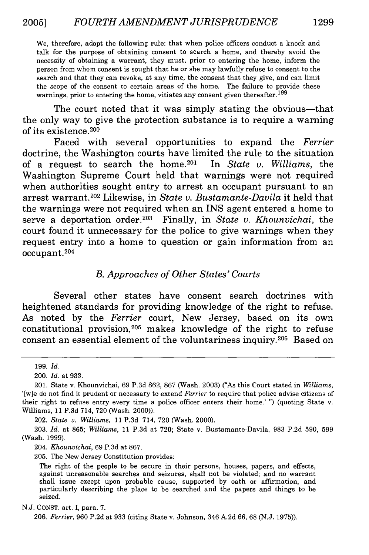We, therefore, adopt the following rule: that when police officers conduct a knock and talk for the purpose of obtaining consent to search a home, and thereby avoid the necessity of obtaining a warrant, they must, prior to entering the home, inform the person from whom consent is sought that he or she may lawfully refuse to consent to the search and that they can revoke, at any time, the consent that they give, and can limit the scope of the consent to certain areas of the home. The failure to provide these warnings, prior to entering the home, vitiates any consent given thereafter.<sup>199</sup>

The court noted that it was simply stating the obvious—that the only way to give the protection substance is to require a warning of its existence. <sup>200</sup>

Faced with several opportunities to expand the *Ferrier* doctrine, the Washington courts have limited the rule to the situation of a request to search the home. 201 In *State v. Williams,* the Washington Supreme Court held that warnings were not required when authorities sought entry to arrest an occupant pursuant to an arrest warrant. <sup>20</sup> 2 Likewise, in *State v. Bustamante-Davila* it held that the warnings were not required when an INS agent entered a home to serve a deportation order.203 Finally, in *State v. Khounvichai,* the court found it unnecessary for the police to give warnings when they request entry into a home to question or gain information from an occupant. <sup>204</sup>

#### *B. Approaches of Other States' Courts*

Several other states have consent search doctrines with heightened standards for providing knowledge of the right to refuse. As noted by the *Ferrier* court, New Jersey, based on its own constitutional provision,<sup>205</sup> makes knowledge of the right to refuse consent an essential element of the voluntariness inquiry.<sup>206</sup> Based on

202. *State v. Williams,* 11 P.3d 714, 720 (Wash. 2000).

203. *Id.* at 865; *Williams,* 11 P.3d at 720; State v. Bustamante-Davila, 983 P.2d 590, 599 (Wash. 1999).

204. *Khounvichai,* 69 P.3d at 867.

205. The New Jersey Constitution provides:

The right of the people to be secure in their persons, houses, papers, and effects, against unreasonable searches and seizures, shall not be violated; and no warrant shall issue except upon probable cause, supported by oath or affirmation, and particularly describing the place to be searched and the papers and things to be seized.

N.J. CONST. art. I, para. 7.

206. *Ferrier,* 960 P.2d at 933 (citing State v. Johnson, 346 A.2d 66, 68 (N.J. 1975)).

<sup>199.</sup> *Id.*

<sup>200.</sup> *Id.* at 933.

<sup>201.</sup> State v. Khounvichai, 69 P.3d 862, 867 (Wash. 2003) ("As this Court stated in *Williams,* '[w]e do not find it prudent or necessary to extend *Ferrier* to require that police advise citizens of their right to refuse entry every time a police officer enters their home.' ") (quoting State v. Williams, 11 P.3d 714, 720 (Wash. 2000)).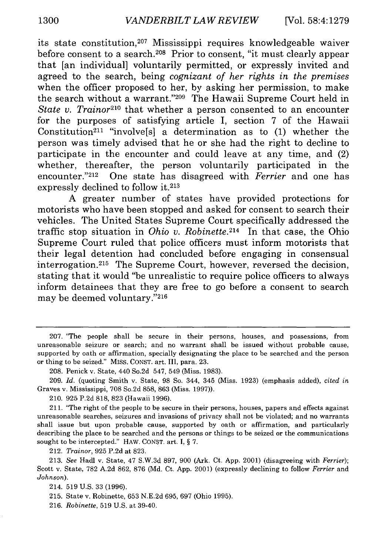its state constitution,207 Mississippi requires knowledgeable waiver before consent to a search.<sup>208</sup> Prior to consent, "it must clearly appear that [an individual] voluntarily permitted, or expressly invited and agreed to the search, being *cognizant of her rights in the premises* when the officer proposed to her, by asking her permission, to make the search without a warrant."<sup>209</sup> The Hawaii Supreme Court held in *State v. Trainor210* that whether a person consented to an encounter for the purposes of satisfying article I, section 7 of the Hawaii Constitution<sup>211</sup> "involve<sup>[s]</sup> a determination as to  $(1)$  whether the person was timely advised that he or she had the right to decline to participate in the encounter and could leave at any time, and (2) whether, thereafter, the person voluntarily participated in the encounter."212 One state has disagreed with *Ferrier* and one has expressly declined to follow it.213

A greater number of states have provided protections for motorists who have been stopped and asked for consent to search their vehicles. The United States Supreme Court specifically addressed the traffic stop situation in *Ohio v. Robinette*.<sup>214</sup> In that case, the Ohio Supreme Court ruled that police officers must inform motorists that their legal detention had concluded before engaging in consensual interrogation.<sup>215</sup> The Supreme Court, however, reversed the decision, stating that it would "be unrealistic to require police officers to always inform detainees that they are free to go before a consent to search may be deemed voluntary."216

212. *Trainor,* 925 P.2d at 823.

213. *See* Hadl v. State, 47 S.W.3d 897, 900 (Ark. Ct. App. 2001) (disagreeing with *Ferrier);* Scott v. State, 782 A.2d 862, 876 (Md. Ct. App. 2001) (expressly declining to follow *Ferrier* and *Johnson).*

214. 519 U.S. 33 (1996).

215. State v. Robinette, 653 N.E.2d 695, 697 (Ohio 1995).

216. *Robinette,* 519 U.S. at 39-40.

<sup>207. &</sup>quot;The people shall be secure in their persons, houses, and possessions, from unreasonable seizure or search; and no warrant shall be issued without probable cause, supported by oath or affirmation, specially designating the place to be searched and the person or thing to be seized." MISS. CONST. art. III, para. 23.

<sup>208.</sup> Penick v. State, 440 So.2d 547, 549 (Miss. 1983).

<sup>209.</sup> *Id.* (quoting Smith v. State, 98 So. 344, 345 (Miss. 1923) (emphasis added), *cited in* Graves v. Mississippi, 708 So.2d 858, 863 (Miss. 1997)).

<sup>210. 925</sup> P.2d 818, 823 (Hawaii 1996).

<sup>211. &</sup>quot;The right of the people to be secure in their persons, houses, papers and effects against unreasonable searches, seizures and invasions of privacy shall not be violated; and no warrants shall issue but upon probable cause, supported by oath or affirmation, and particularly describing the place to be searched and the persons or things to be seized or the communications sought to be intercepted." HAW. CONST. art. I,  $\S$  7.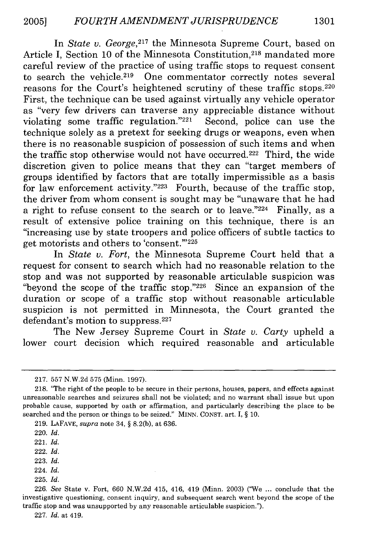In *State v. George,217* the Minnesota Supreme Court, based on Article I, Section 10 of the Minnesota Constitution.<sup>218</sup> mandated more careful review of the practice of using traffic stops to request consent to search the vehicle.<sup>219</sup> One commentator correctly notes several reasons for the Court's heightened scrutiny of these traffic stops.<sup>220</sup> First, the technique can be used against virtually any vehicle operator as "very few drivers can traverse any appreciable distance without violating some traffic regulation." $221$  Second, police can use the technique solely as a pretext for seeking drugs or weapons, even when there is no reasonable suspicion of possession of such items and when the traffic stop otherwise would not have occurred. 222 Third, the wide discretion given to police means that they can "target members of groups identified by factors that are totally impermissible as a basis for law enforcement activity."223 Fourth, because of the traffic stop, the driver from whom consent is sought may be "unaware that he had a right to refuse consent to the search or to leave."224 Finally, as a result of extensive police training on this technique, there is an "increasing use by state troopers and police officers of subtle tactics to get motorists and others to 'consent."<sup>225</sup>

In *State v. Fort,* the Minnesota Supreme Court held that a request for consent to search which had no reasonable relation to the stop and was not supported by reasonable articulable suspicion was "beyond the scope of the traffic stop."226 Since an expansion of the duration or scope of a traffic stop without reasonable articulable suspicion is not permitted in Minnesota, the Court granted the defendant's motion to suppress. <sup>227</sup>

The New Jersey Supreme Court in *State v. Carty* upheld a lower court decision which required reasonable and articulable

227. *Id.* at 419.

<sup>217. 557</sup> N.W.2d 575 (Minn. 1997).

<sup>218. &</sup>quot;The right of the people to be secure in their persons, houses, papers, and effects against unreasonable searches and seizures shall not be violated; and no warrant shall issue but upon probable cause, supported by oath or affirmation, and particularly describing the place to be searched and the person or things to be seized." MINN. CONST. art. I, § 10.

<sup>219.</sup> LAFAVE, *supra* note 34, § 8.2(b), at 636.

<sup>220.</sup> *Id.*

<sup>221.</sup> *Id.*

<sup>222.</sup> *Id.*

<sup>223.</sup> *Id.*

<sup>224.</sup> *Id.*

<sup>225.</sup> *Id.*

<sup>226.</sup> *See* State v. Fort, 660 N.W.2d 415, 416, 419 (Minn. 2003) ("We ... conclude that the investigative questioning, consent inquiry, and subsequent search went beyond the scope of the traffic stop and was unsupported by any reasonable articulable suspicion.").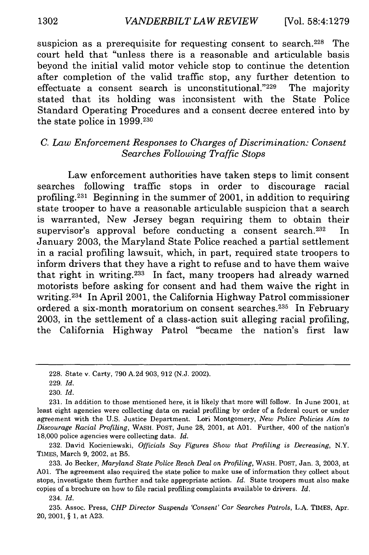suspicion as a prerequisite for requesting consent to search.<sup>228</sup> The court held that "unless there is a reasonable and articulable basis beyond the initial valid motor vehicle stop to continue the detention after completion of the valid traffic stop, any further detention to effectuate a consent search is unconstitutional. $229$  The majority stated that its holding was inconsistent with the State Police Standard Operating Procedures and a consent decree entered into by the state police in 1999.230

### *C. Law Enforcement Responses to Charges of Discrimination: Consent Searches Following Traffic Stops*

Law enforcement authorities have taken steps to limit consent searches following traffic stops in order to discourage racial profiling. 231 Beginning in the summer of 2001, in addition to requiring state trooper to have a reasonable articulable suspicion that a search is warranted, New Jersey began requiring them to obtain their supervisor's approval before conducting a consent search.<sup>232</sup> In January 2003, the Maryland State Police reached a partial settlement in a racial profiling lawsuit, which, in part, required state troopers to inform drivers that they have a right to refuse and to have them waive that right in writing.233 In fact, many troopers had already warned motorists before asking for consent and had them waive the right in writing. 234 In April 2001, the California Highway Patrol commissioner ordered a six-month moratorium on consent searches. 235 In February 2003, in the settlement of a class-action suit alleging racial profiling, the California Highway Patrol "became the nation's first law

232. David Kocieniewski, *Officials Say Figures Show that Profiling is Decreasing,* N.Y. TIMES, March 9, 2002, at B5.

233. Jo Becker, *Maryland State Police Reach Deal on Profiling,* WASH. POST, Jan. 3, 2003, at **A01.** The agreement also required the state police to make use of information they collect about stops, investigate them further and take appropriate action. *Id.* State troopers must also make copies of a brochure on how to file racial profiling complaints available to drivers. *Id.*

234. *Id.*

235. Assoc. Press, *CHP Director Suspends 'Consent' Car Searches Patrols,* L.A. TIMES, Apr. 20, 2001, § 1, at A23.

<sup>228.</sup> State v. Carty, 790 A.2d 903, 912 (N.J. 2002).

<sup>229.</sup> *Id.*

<sup>230.</sup> *Id.*

<sup>231.</sup> In addition to those mentioned here, it is likely that more will follow. In June 2001, at least eight agencies were collecting data on racial profiling **by** order of a federal court or under agreement with the U.S. Justice Department. Lori Montgomery, *New Police Policies Aim* to *Discourage Racial Profiling,* WASH. POST, June 28, 2001, at **A01.** Further, 400 of the nation's 18,000 police agencies were collecting data. *Id.*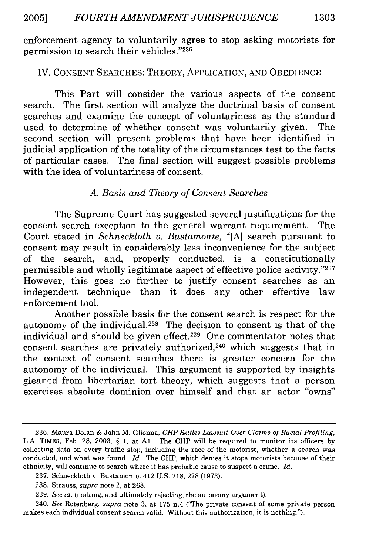enforcement agency to voluntarily agree to stop asking motorists for permission to search their vehicles."236

### IV. CONSENT SEARCHES: THEORY, APPLICATION, AND OBEDIENCE

This Part will consider the various aspects of the consent search. The first section will analyze the doctrinal basis of consent searches and examine the concept of voluntariness as the standard used to determine of whether consent was voluntarily given. The second section will present problems that have been identified in judicial application of the totality of the circumstances test to the facts of particular cases. The final section will suggest possible problems with the idea of voluntariness of consent.

## *A. Basis and Theory of Consent Searches*

The Supreme Court has suggested several justifications for the consent search exception to the general warrant requirement. The Court stated in *Schneckloth v. Bustamonte,* "[A] search pursuant to consent may result in considerably less inconvenience for the subject of the search, and, properly conducted, is a constitutionally permissible and wholly legitimate aspect of effective police activity."237 However, this goes no further to justify consent searches as an independent technique than it does any other effective law enforcement tool.

Another possible basis for the consent search is respect for the autonomy of the individual.<sup>238</sup> The decision to consent is that of the individual and should be given effect.<sup>239</sup> One commentator notes that consent searches are privately authorized, 240 which suggests that in the context of consent searches there is greater concern for the autonomy of the individual. This argument is supported by insights gleaned from libertarian tort theory, which suggests that a person exercises absolute dominion over himself and that an actor "owns"

<sup>236.</sup> Maura Dolan & John M. Glionna, *CHP Settles Lawsuit Over Claims of Racial Profiling,* L.A. TIMES, Feb. 28, 2003, § 1, at **Al.** The CHP will be required to monitor its officers by collecting data on every traffic stop, including the race of the motorist, whether a search was conducted, and what was found. *Id.* The CHP, which denies it stops motorists because of their ethnicity, will continue to search where it has probable cause to suspect a crime. *Id.*

<sup>237.</sup> Schneckloth v. Bustamonte, 412 U.S. 218, 228 (1973).

<sup>238.</sup> Strauss, *supra* note 2, at 268.

<sup>239.</sup> *See id.* (making, and ultimately rejecting, the autonomy argument).

<sup>240.</sup> *See* Rotenberg, *supra* note 3, at 175 n.4 ("The private consent of some private person makes each individual consent search valid. Without this authorization, it is nothing.").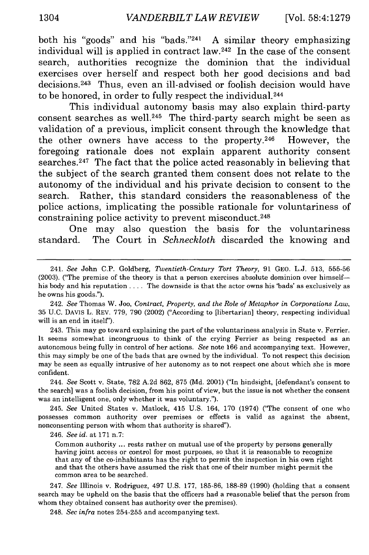both his "goods" and his "bads."<sup>241</sup> A similar theory emphasizing individual will is applied in contract law.<sup>242</sup> In the case of the consent search, authorities recognize the dominion that the individual exercises over herself and respect both her good decisions and bad decisions. 243 Thus, even an ill-advised or foolish decision would have to be honored, in order to fully respect the individual. <sup>244</sup>

This individual autonomy basis may also explain third-party consent searches as well.<sup>245</sup> The third-party search might be seen as validation of a previous, implicit consent through the knowledge that the other owners have access to the property.<sup>246</sup> However, the foregoing rationale does not explain apparent authority consent searches.<sup>247</sup> The fact that the police acted reasonably in believing that the subject of the search granted them consent does not relate to the autonomy of the individual and his private decision to consent to the search. Rather, this standard considers the reasonableness of the police actions, implicating the possible rationale for voluntariness of constraining police activity to prevent misconduct. <sup>248</sup>

One may also question the basis for the voluntariness standard. The Court in *Schneckloth* discarded the knowing and

242. *See* Thomas W. Joo, *Contract, Property, and the Role of Metaphor in Corporations Law,* 35 U.C. DAVIS L. REV. 779, 790 (2002) ("According to [libertarian] theory, respecting individual will is an end in itself').

243. This may go toward explaining the part of the voluntariness analysis in State v. Ferrier. It seems somewhat incongruous to think of the crying Ferrier as being respected as an autonomous being fully in control of her actions. *See* note 166 and accompanying text. However, this may simply be one of the bads that are owned by the individual. To not respect this decision may be seen as equally intrusive of her autonomy as to not respect one about which she is more confident.

244. *See* Scott v. State, 782 A.2d 862, 875 (Md. 2001) ("In hindsight, [defendant's consent to the search] was a foolish decision, from his point of view, but the issue is not whether the consent was an intelligent one, only whether it was voluntary.").

245. *See* United States v. Matlock, 415 U.S. 164, 170 (1974) ("The consent of one who possesses common authority over premises or effects is valid as against the absent, nonconsenting person with whom that authority is shared").

246. *See id.* at 171 n.7:

Common authority ... rests rather on mutual use of the property by persons generally having joint access or control for most purposes, so that it is reasonable to recognize that any of the co-inhabitants has the right to permit the inspection in his own right and that the others have assumed the risk that one of their number might permit the common area to be searched.

247. *See* Illinois v. Rodriguez, 497 U.S. 177, 185-86, 188-89 (1990) (holding that a consent search may be upheld on the basis that the officers had a reasonable belief that the person from whom they obtained consent has authority over the premises).

248. *See infra* notes 254-255 and accompanying text.

<sup>241.</sup> *See* John C.P. Goldberg, *Twentieth-Century Tort Theory,* 91 GEO. L.J. 513, 555-56 (2003). ("The premise of the theory is that a person exercises absolute dominion over himselfhis body and his reputation .... The downside is that the actor owns his 'bads' as exclusively as he owns his goods.").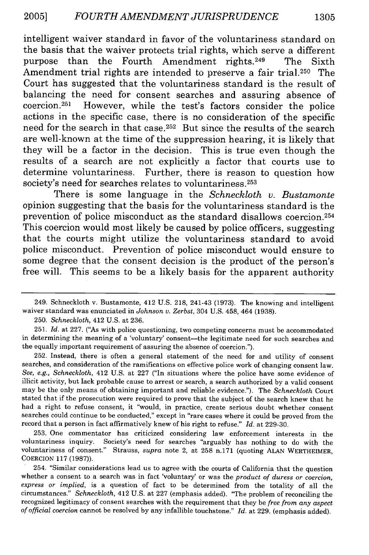intelligent waiver standard in favor of the voluntariness standard on the basis that the waiver protects trial rights, which serve a different purpose than the Fourth Amendment rights.<sup>249</sup> The Sixth Amendment trial rights are intended to preserve a fair trial.<sup>250</sup> The Court has suggested that the voluntariness standard is the result of balancing the need for consent searches and assuring absence of  $coercion.<sup>251</sup>$  However, while the test's factors consider the police actions in the specific case, there is no consideration of the specific need for the search in that case.<sup>252</sup> But since the results of the search are well-known at the time of the suppression hearing, it is likely that they will be a factor in the decision. This is true even though the results of a search are not explicitly a factor that courts use to determine voluntariness. Further, there is reason to question how society's need for searches relates to voluntariness.<sup>253</sup>

There is some language in the *Schneckloth v. Bustamonte* opinion suggesting that the basis for the voluntariness standard is the prevention of police misconduct as the standard disallows coercion.<sup>254</sup> This coercion would most likely be caused by police officers, suggesting that the courts might utilize the voluntariness standard to avoid police misconduct. Prevention of police misconduct would ensure to some degree that the consent decision is the product of the person's free will. This seems to be a likely basis for the apparent authority

250. *Schneckloth,* 412 U.S. at 236.

251. *Id.* at 227. ("As with police questioning, two competing concerns must be accommodated in determining the meaning of a 'voluntary' consent-the legitimate need for such searches and the equally important requirement of assuring the absence of coercion.").

252. Instead, there is often a general statement of the need for and utility of consent searches, and consideration of the ramifications on effective police work of changing consent law. *See, e.g., Schneckloth,* 412 U.S. at 227 ("In situations where the police have some evidence of illicit activity, but lack probable cause to arrest or search, a search authorized by a valid consent may be the only means of obtaining important and reliable evidence."). The *Schneckloth* Court stated that if the prosecution were required to prove that the subject of the search knew that he had a right to refuse consent, it "would, in practice, create serious doubt whether consent searches could continue to be conducted," except in "rare cases where it could be proved from the record that a person in fact affirmatively knew of his right to refuse." *Id.* at 229-30.

253. One commentator has criticized considering law enforcement interests in the voluntariness inquiry. Society's need for searches "arguably has nothing to do with the voluntariness of consent." Strauss, *supra* note 2, at 258 n.171 (quoting ALAN WERTHEIMER, COERCION 117 (1987)).

254. "Similar considerations lead us to agree with the courts of California that the question whether a consent to a search was in fact 'voluntary' or was the *product of duress or coercion, express or implied,* is a question of fact to be determined from the totality of all the circumstances." *Schneckloth,* 412 U.S. at 227 (emphasis added). "The problem of reconciling the recognized legitimacy of consent searches with the requirement that they be *free from any aspect of official coercion* cannot be resolved by any infallible touchstone." *Id.* at 229. (emphasis added).

<sup>249.</sup> Schneckloth v. Bustamonte, 412 U.S. 218, 241-43 (1973). The knowing and intelligent waiver standard was enunciated in *Johnson v. Zerbst,* 304 U.S. 458, 464 (1938).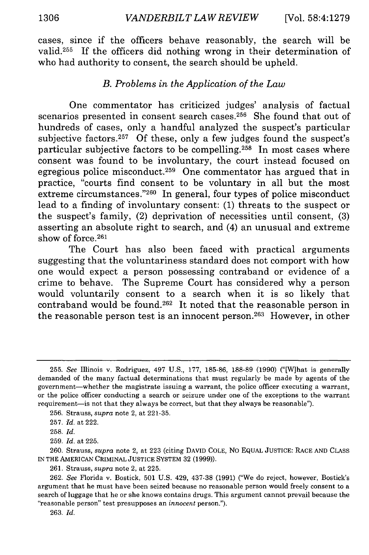cases, since if the officers behave reasonably, the search will be valid.255 If the officers did nothing wrong in their determination of who had authority to consent, the search should be upheld.

#### *B. Problems in the Application of the Law*

One commentator has criticized judges' analysis of factual scenarios presented in consent search cases.<sup>256</sup> She found that out of hundreds of cases, only a handful analyzed the suspect's particular subjective factors. $257$  Of these, only a few judges found the suspect's particular subjective factors to be compelling. 258 In most cases where consent was found to be involuntary, the court instead focused on egregious police misconduct.<sup>259</sup> One commentator has argued that in practice, "courts find consent to be voluntary in all but the most extreme circumstances."<sup>260</sup> In general, four types of police misconduct lead to a finding of involuntary consent: (1) threats to the suspect or the suspect's family, (2) deprivation of necessities until consent, (3) asserting an absolute right to search, and (4) an unusual and extreme show of force.<sup>261</sup>

The Court has also been faced with practical arguments suggesting that the voluntariness standard does not comport with how one would expect a person possessing contraband or evidence of a crime to behave. The Supreme Court has considered why a person would voluntarily consent to a search when it is so likely that contraband would be found.<sup>262</sup> It noted that the reasonable person in the reasonable person test is an innocent person. 263 However, in other

261. Strauss, *supra* note 2, at 225.

263. *Id.*

<sup>255.</sup> *See* Illinois v. Rodriguez, 497 U.S., 177, 185-86, 188-89 (1990) ("[W]hat is generally demanded of the many factual determinations that must regularly be made by agents of the government-whether the magistrate issuing a warrant, the police officer executing a warrant, or the police officer conducting a search or seizure under one of the exceptions to the warrant requirement- is not that they always be correct, but that they always be reasonable").

<sup>256.</sup> Strauss, *supra* note 2, at 221-35.

<sup>257.</sup> *Id.* at 222.

<sup>258.</sup> *Id.*

<sup>259.</sup> *Id.* at 225.

<sup>260.</sup> Strauss, *supra* note 2, at 223 (citing DAVID COLE, No EQUAL **JUSTICE: RACE AND** CLASS IN THE AMERICAN CRIMINAL JUSTICE SYSTEM 32 (1999)).

<sup>262.</sup> *See* Florida v. Bostick, 501 U.S. 429, 437-38 (1991) ("We do reject, however, Bostick's argument that he must have been seized because no reasonable person would freely consent to a search of luggage that he or she knows contains drugs. This argument cannot prevail because the "reasonable person" test presupposes an *innocent* person.").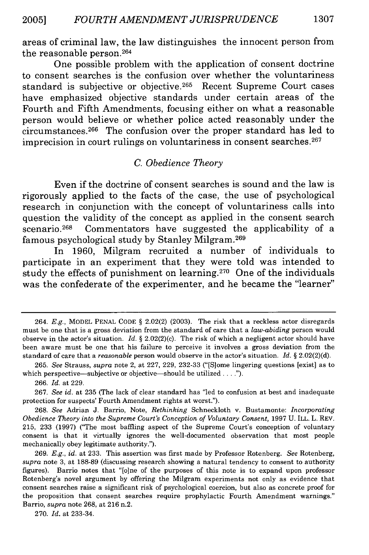areas of criminal law, the law distinguishes the innocent person from the reasonable person. <sup>264</sup>

One possible problem with the application of consent doctrine to consent searches is the confusion over whether the voluntariness standard is subjective or objective. 265 Recent Supreme Court cases have emphasized objective standards under certain areas of the Fourth and Fifth Amendments, focusing either on what a reasonable person would believe or whether police acted reasonably under the circumstances. 266 The confusion over the proper standard has led to imprecision in court rulings on voluntariness in consent searches. <sup>267</sup>

## *C. Obedience Theory*

Even if the doctrine of consent searches is sound and the law is rigorously applied to the facts of the case, the use of psychological research in conjunction with the concept of voluntariness calls into question the validity of the concept as applied in the consent search scenario.<sup>268</sup> Commentators have suggested the applicability of a famous psychological study by Stanley Milgram. <sup>269</sup>

In 1960, Milgram recruited a number of individuals to participate in an experiment that they were told was intended to study the effects of punishment on learning. 270 One of the individuals was the confederate of the experimenter, and he became the "learner"

<sup>264.</sup> *E.g.,* MODEL PENAL CODE § 2.02(2) (2003). The risk that a reckless actor disregards must be one that is a gross deviation from the standard of care that a *law-abiding* person would observe in the actor's situation. *Id. §* 2.02(2)(c). The risk of which a negligent actor should have been aware must be one that his failure to perceive it involves a gross deviation from the standard of care that a *reasonable* person would observe in the actor's situation. *Id. §* 2.02(2)(d).

<sup>265.</sup> *See* Strauss, *supra* note 2, at 227, 229, 232-33 ("[Slome lingering questions [exist] as to which perspective—subjective or objective—should be utilized .....").

<sup>266.</sup> *Id.* at 229.

<sup>267.</sup> *See id.* at 235 (The lack of clear standard has 'led to confusion at best and inadequate protection for suspects' Fourth Amendment rights at worst.").

<sup>268.</sup> *See* Adrian J. Barrio, Note, *Rethinking* Schneckloth v. Bustamonte: *Incorporating Obedience Theory into the Supreme Court's Conception of Voluntary Consent,* 1997 U. ILL. L. REV. 215, 233 (1997) ('The most baffling aspect of the Supreme Court's conception of voluntary consent is that it virtually ignores the well-documented observation that most people mechanically obey legitimate authority.").

<sup>269.</sup> *E.g., id.* at 233. This assertion was first made by Professor Rotenberg. *See* Rotenberg, *supra* note 3, at 188-89 (discussing research showing a natural tendency to consent to authority figures). Barrio notes that "[olne of the purposes of this note is to expand upon professor Rotenberg's novel argument by offering the Milgram experiments not only as evidence that consent searches raise a significant risk of psychological coercion, but also as concrete proof for the proposition that consent searches require prophylactic Fourth Amendment warnings." Barrio, *supra* note 268, at 216 n.2.

<sup>270.</sup> *Id.* at 233-34.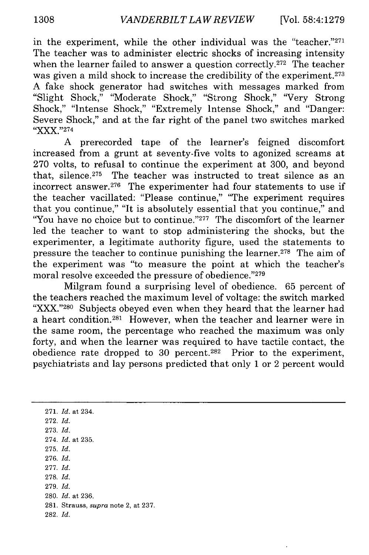in the experiment, while the other individual was the "teacher."271 The teacher was to administer electric shocks of increasing intensity when the learner failed to answer a question correctly.<sup>272</sup> The teacher was given a mild shock to increase the credibility of the experiment.<sup>273</sup> A fake shock generator had switches with messages marked from "Slight Shock," "Moderate Shock," "Strong Shock," 'Very Strong Shock," "Intense Shock," "Extremely Intense Shock," and "Danger: Severe Shock," and at the far right of the panel two switches marked "XXX."274

A prerecorded tape of the learner's feigned discomfort increased from a grunt at seventy-five volts to agonized screams at 270 volts, to refusal to continue the experiment at 300, and beyond that, silence.<sup>275</sup> The teacher was instructed to treat silence as an incorrect answer.<sup>276</sup> The experimenter had four statements to use if the teacher vacillated: "Please continue," "The experiment requires that you continue," "It is absolutely essential that you continue," and "You have no choice but to continue."<sup>277</sup> The discomfort of the learner led the teacher to want to stop administering the shocks, but the experimenter, a legitimate authority figure, used the statements to pressure the teacher to continue punishing the learner.<sup>278</sup> The aim of the experiment was "to measure the point at which the teacher's moral resolve exceeded the pressure of obedience."279

Milgram found a surprising level of obedience. 65 percent of the teachers reached the maximum level of voltage: the switch marked "XXX."<sup>280</sup> Subjects obeyed even when they heard that the learner had a heart condition.<sup>281</sup> However, when the teacher and learner were in the same room, the percentage who reached the maximum was only forty, and when the learner was required to have tactile contact, the obedience rate dropped to 30 percent. 282 Prior to the experiment, psychiatrists and lay persons predicted that only 1 or 2 percent would

271. *Id.* at 234. 272. *Id.* 273. *Id.* 274. *Id.* at 235. 275. *Id.* 276. *Id.* 277. *Id.* 278. *Id.* 279. *Id.* 280. *Id.* at 236. 281. Strauss, *supra* note 2, at 237. 282. *Id.*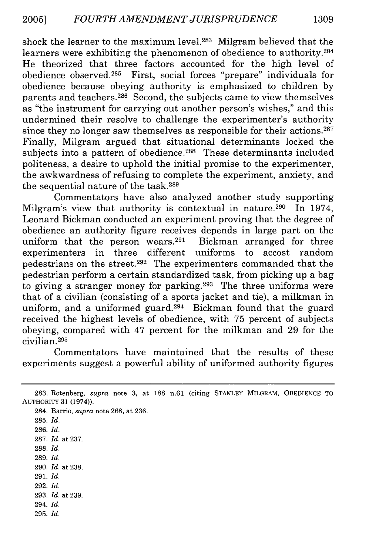shock the learner to the maximum level.<sup>283</sup> Milgram believed that the learners were exhibiting the phenomenon of obedience to authority.<sup>284</sup> He theorized that three factors accounted for the high level of obedience observed.<sup>285</sup> First, social forces "prepare" individuals for obedience because obeying authority is emphasized to children by parents and teachers.<sup>286</sup> Second, the subjects came to view themselves as "the instrument for carrying out another person's wishes," and this undermined their resolve to challenge the experimenter's authority since they no longer saw themselves as responsible for their actions. $287$ Finally, Milgram argued that situational determinants locked the subjects into a pattern of obedience.<sup>288</sup> These determinants included politeness, a desire to uphold the initial promise to the experimenter, the awkwardness of refusing to complete the experiment, anxiety, and the sequential nature of the task.289

Commentators have also analyzed another study supporting Milgram's view that authority is contextual in nature.<sup>290</sup> In 1974, Leonard Bickman conducted an experiment proving that the degree of obedience an authority figure receives depends in large part on the uniform that the person wears. $291$  Bickman arranged for three experimenters in three different uniforms to accost random pedestrians on the street. 292 The experimenters commanded that the pedestrian perform a certain standardized task, from picking up a bag to giving a stranger money for parking.<sup>293</sup> The three uniforms were that of a civilian (consisting of a sports jacket and tie), a milkman in uniform, and a uniformed guard.<sup>294</sup> Bickman found that the guard received the highest levels of obedience, with 75 percent of subjects obeying, compared with 47 percent for the milkman and 29 for the civilian. <sup>295</sup>

Commentators have maintained that the results of these experiments suggest a powerful ability of uniformed authority figures

284. Barrio, *supra* note 268, at 236.

286. *Id.*

287. *Id.* at 237.

- 288. *Id.*
- 289. *Id.*
- 290. *Id.* at 238.
- 291. *Id.* 292. *Id.*
- 
- 293. *Id.* at 239. 294. *Id.*
- 295. *Id.*

<sup>283.</sup> Rotenberg, *supra* note 3, at 188 n.61 (citing STANLEY MILGRAM, OBEDIENCE TO AUTHORITY 31 (1974)).

<sup>285.</sup> *Id.*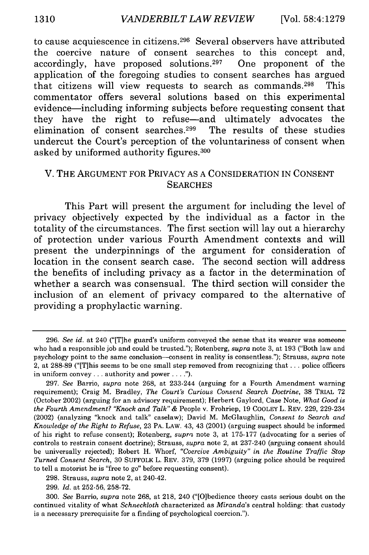to cause acquiescence in citizens. 296 Several observers have attributed the coercive nature of consent searches to this concept and, accordingly, have proposed solutions.<sup>297</sup> One proponent of the application of the foregoing studies to consent searches has argued that citizens will view requests to search as commands.298 This commentator offers several solutions based on this experimental evidence-including informing subjects before requesting consent that they have the right to refuse-and ultimately advocates the elimination of consent searches.<sup>299</sup> The results of these studies undercut the Court's perception of the voluntariness of consent when asked by uniformed authority figures. <sup>300</sup>

## V. THE ARGUMENT FOR PRIVACY AS A CONSIDERATION IN CONSENT **SEARCHES**

This Part will present the argument for including the level of privacy objectively expected by the individual as a factor in the totality of the circumstances. The first section will lay out a hierarchy of protection under various Fourth Amendment contexts and will present the underpinnings of the argument for consideration of location in the consent search case. The second section will address the benefits of including privacy as a factor in the determination of whether a search was consensual. The third section will consider the inclusion of an element of privacy compared to the alternative of providing a prophylactic warning.

<sup>296.</sup> *See id.* at 240 ("[T]he guard's uniform conveyed the sense that its wearer was someone who had a responsible job and could be trusted."); Rotenberg, *supra* note 3, at 193 ("Both law and psychology point to the same conclusion--consent in reality is consentless."); Strauss, *supra* note 2, at 288-89 ("[T]his seems to be one small step removed from recognizing that... police officers in uniform convey... authority and power **.... ).**

<sup>297.</sup> See Barrio, *supra* note 268, at 233-244 (arguing for a Fourth Amendment warning requirement); Craig M. Bradley, *The Court's Curious Consent Search Doctrine,* 38 TRIAL 72 (October 2002) (arguing for an advisory requirement); Herbert Gaylord, Case Note, *What Good is the Fourth Amendment? "Knock and Talk"* & People v. Frohriep, 19 COOLEY L. REV. 229, 229-234 (2002) (analyzing "knock and talk" caselaw); David M. McGlaughlin, *Consent to Search and Knowledge of the Right to Refuse,* 23 PA. LAW. 43, 43 (2001) (arguing suspect should be informed of his right to refuse consent); Rotenberg, *supra* note 3, at 175-177 (advocating for a series of controls to restrain consent doctrine); Strauss, *supra* note 2, at 237-240 (arguing consent should be universally rejected); Robert H. Whorf, *"Coercive Ambiguity" in the Routine Traffic Stop Turned Consent Search,* 30 SUFFOLK L. REV. 379, 379 (1997) (arguing police should be required to tell a motorist he is "free to go" before requesting consent).

<sup>298.</sup> Strauss, *supra* note 2, at 240-42.

<sup>299.</sup> *Id.* at 252-56, 258-72.

<sup>300.</sup> *See* Barrio, *supra* note 268, at 218, 240 ("[O]bedience theory casts serious doubt on the continued vitality of what *Schneckloth* characterized as *Miranda's* central holding: that custody is a necessary prerequisite for a finding of psychological coercion.").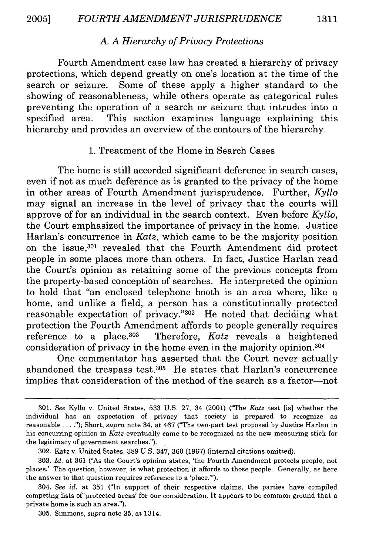## *A. A Hierarchy of Privacy Protections*

Fourth Amendment case law has created a hierarchy of privacy protections, which depend greatly on one's location at the time of the search or seizure. Some of these apply a higher standard to the showing of reasonableness, while others operate as categorical rules preventing the operation of a search or seizure that intrudes into a specified area. This section examines language explaining this hierarchy and provides an overview of the contours of the hierarchy.

#### 1. Treatment of the Home in Search Cases

The home is still accorded significant deference in search cases, even if not as much deference as is granted to the privacy of the home in other areas of Fourth Amendment jurisprudence. Further, *Kyllo* may signal an increase in the level of privacy that the courts will approve of for an individual in the search context. Even before *Kyllo,* the Court emphasized the importance of privacy in the home. Justice Harlan's concurrence in *Katz,* which came to be the majority position on the issue,<sup>301</sup> revealed that the Fourth Amendment did protect people in some places more than others. In fact, Justice Harlan read the Court's opinion as retaining some of the previous concepts from the property-based conception of searches. He interpreted the opinion to hold that "an enclosed telephone booth is an area where, like a home, and unlike a field, a person has a constitutionally protected reasonable expectation of privacy." $302$  He noted that deciding what protection the Fourth Amendment affords to people generally requires reference to a place.<sup>303</sup> Therefore, *Katz* reveals a heightened consideration of privacy in the home even in the majority opinion.<sup>304</sup>

One commentator has asserted that the Court never actually abandoned the trespass test. $305$  He states that Harlan's concurrence implies that consideration of the method of the search as a factor-not

<sup>301.</sup> *See* Kyllo v. United States, 533 U.S. 27, 34 (2001) ("The *Katz* test [is] whether the individual has an expectation of privacy that society is prepared to recognize as reasonable **.. ");** Short, *supra* note 34, at 467 ("The two-part test proposed by Justice Harlan in his concurring opinion in *Katz* eventually came to be recognized as the new measuring stick for the legitimacy of government searches.").

<sup>302.</sup> Katz v. United States, 389 U.S. 347, 360 (1967) (internal citations omitted).

<sup>303.</sup> *Id.* at 361 ("As the Court's opinion states, 'the Fourth Amendment protects people, not places.' The question, however, is what protection it affords to those people. Generally, as here the answer to that question requires reference to a 'place."').

<sup>304.</sup> *See id.* at 351 ("In support of their respective claims, the parties have compiled competing lists of 'protected areas' for our consideration. It appears to be common ground that a private home is such an area.").

<sup>305.</sup> Simmons, *supra* note 35, at 1314.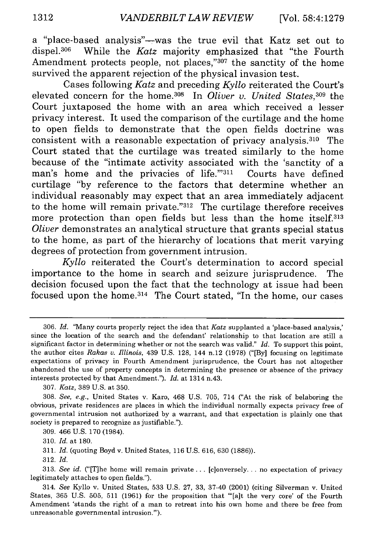a "place-based analysis"-was the true evil that Katz set out to dispel.<sup>306</sup> While the *Katz* majority emphasized that "the Fourth" Amendment protects people, not places,"307 the sanctity of the home survived the apparent rejection of the physical invasion test.

Cases following *Katz* and preceding *Kyllo* reiterated the Court's elevated concern for the home.<sup>308</sup> In *Oliver v. United States*,<sup>309</sup> the Court juxtaposed the home with an area which received a lesser privacy interest. It used the comparison of the curtilage and the home to open fields to demonstrate that the open fields doctrine was consistent with a reasonable expectation of privacy analysis.310 The Court stated that the curtilage was treated similarly to the home because of the "intimate activity associated with the 'sanctity of a man's home and the privacies of life.""311 Courts have defined curtilage **"by** reference to the factors that determine whether an individual reasonably may expect that an area immediately adjacent to the home will remain private."312 The curtilage therefore receives more protection than open fields but less than the home itself.313 *Oliver* demonstrates an analytical structure that grants special status to the home, as part of the hierarchy of locations that merit varying degrees of protection from government intrusion.

*Kyllo* reiterated the Court's determination to accord special importance to the home in search and seizure jurisprudence. The decision focused upon the fact that the technology at issue had been focused upon the home. 314 The Court stated, "In the home, our cases

**312.** *Id.*

**<sup>306.</sup>** *Id.* "Many courts properly reject the idea that *Katz* supplanted a 'place-based analysis,' since the location of the search and the defendant' relationship to that location are still a significant factor in determining whether or not the search was valid." *Id.* To support this point, the author cites *Rakas v. Illinois,* 439 **U.S. 128,** 144 n.12 **(1978) ("[By]** focusing on legitimate expectations of privacy in Fourth Amendment jurisprudence, the Court has not altogether abandoned the use of property concepts in determining the presence or absence of the privacy interests protected **by** that Amendment."). *Id.* at 1314 n.43.

**<sup>307.</sup>** *Katz,* **389 U.S.** at **350.**

**<sup>308.</sup>** *See, e.g.,* United States v. Karo, 468 **U.S. 705,** 714 ("At the risk of belaboring the obvious, private residences are places in which the individual normally expects privacy free of governmental intrusion not authorized **by** a warrant, and that expectation is plainly one that society is prepared to recognize as justifiable.").

**<sup>309.</sup>** 466 **U.S. 170** (1984).

**<sup>310.</sup>** *Id.* at **180.**

**<sup>311.</sup>** *Id.* (quoting Boyd v. United States, **116 U.S. 616, 630 (1886)).**

**<sup>313.</sup>** *See id.* ("[T]he home will remain private... [c]onversely... no expectation of privacy legitimately attaches to open fields.").

<sup>314.</sup> *See* Kyllo v. United States, **533 U.S. 27, 33,** 37-40 (2001) (citing Silverman v. United States, **365 U.S. 505, 511 (1961)** for the proposition that **'[a]t** the very core' of the Fourth Amendment 'stands the right of a man to retreat into his own home and there be free from unreasonable governmental intrusion."').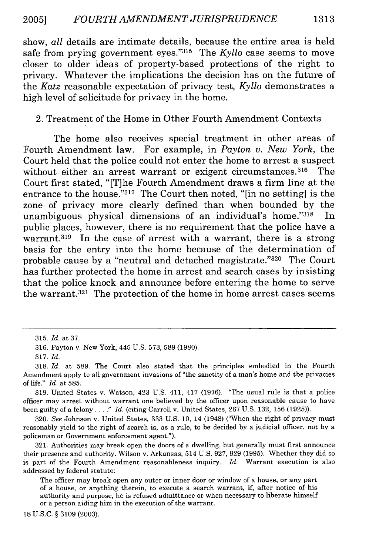show, *all* details are intimate details, because the entire area is held safe from prying government **eyes. '315** The *Kyllo* case seems to move closer to older ideas of property-based protections of the right to privacy. Whatever the implications the decision has on the future of the *Katz* reasonable expectation of privacy test, *Kyllo* demonstrates a high level of solicitude for privacy in the home.

#### 2. Treatment of the Home in Other Fourth Amendment Contexts

The home also receives special treatment in other areas of Fourth Amendment law. For example, in *Payton v. New York,* the Court held that the police could not enter the home to arrest a suspect without either an arrest warrant or exigent circumstances.<sup>316</sup> The Court first stated, "[T]he Fourth Amendment draws a firm line at the entrance to the house."317 The Court then noted, "[in no setting] is the zone of privacy more clearly defined than when bounded **by** the unambiguous physical dimensions of an individual's home."318 In public places, however, there is no requirement that the police have a warrant.<sup>319</sup> In the case of arrest with a warrant, there is a strong basis for the entry into the home because of the determination of probable cause by a "neutral and detached magistrate."<sup>320</sup> The Court has further protected the home in arrest and search cases **by** insisting that the police knock and announce before entering the home to serve the warrant.<sup>321</sup> The protection of the home in home arrest cases seems

**18 U.S.C. § 3109 (2003).**

**<sup>315.</sup>** *Id.* at **37.**

**<sup>316.</sup>** Payton v. New York, 445 **U.S. 573, 589 (1980).**

**<sup>317.</sup>** *Id.*

**<sup>318.</sup>** *Id.* at **589.** The Court also stated that the principles embodied in the Fourth Amendment apply to all government invasions of "the sanctity of a man's home and the privacies of life." *Id.* at **585.**

**<sup>319.</sup>** United States v. Watson, 423 **U.S.** 411, 417 **(1976).** "The usual rule is that a police officer may arrest without warrant one believed **by** the officer upon reasonable cause to have been guilty of a felony **.. "** *Id.* (citing Carroll v. United States, **267 U.S. 132, 156 (1925)).**

**<sup>320.</sup>** See Johnson v. United States, **333 U.S. 10, 14** (1948) ("When the right of privacy must reasonably yield to the right of search is, as a rule, to be decided **by** a judicial officer, not **by** a policeman or Government enforcement agent.").

**<sup>321.</sup>** Authorities may break open the doors of a dwelling, but generally must first announce their presence and authority. Wilson v. Arkansas, 514 **U.S. 927, 929 (1995).** Whether they did so is part of the Fourth Amendment reasonableness inquiry. *Id.* Warrant execution is also addressed **by** federal statute:

The officer may break open any outer or inner door or window of a house, or any part of a house, or anything therein, to execute a search warrant, if, after notice of his authority and purpose, he is refused admittance or when necessary to liberate himself or a person aiding him in the execution of the warrant.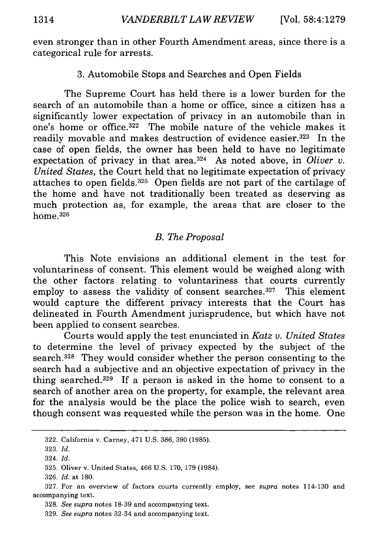even stronger than in other Fourth Amendment areas, since there is a categorical rule for arrests.

## 3. Automobile Stops and Searches and Open Fields

The Supreme Court has held there is a lower burden for the search of an automobile than a home or office, since a citizen has a significantly lower expectation of privacy in an automobile than in one's home or office. 322 The mobile nature of the vehicle makes it readily movable and makes destruction of evidence easier.<sup>323</sup> In the case of open fields, the owner has been held to have no legitimate expectation of privacy in that area.<sup>324</sup> As noted above, in *Oliver v*. *United States,* the Court held that no legitimate expectation of privacy attaches to open fields. 325 Open fields are not part of the cartilage of the home and have not traditionally been treated as deserving as much protection as, for example, the areas that are closer to the home.326

## *B. The Proposal*

This Note envisions an additional element in the test for voluntariness of consent. This element would be weighed along with the other factors relating to voluntariness that courts currently employ to assess the validity of consent searches.<sup>327</sup> This element would capture the different privacy interests that the Court has delineated in Fourth Amendment jurisprudence, but which have not been applied to consent searches.

Courts would apply the test enunciated in *Katz v. United States* to determine the level of privacy expected by the subject of the search.<sup>328</sup> They would consider whether the person consenting to the search had a subjective and an objective expectation of privacy in the thing searched. 329 If a person is asked in the home to consent to a search of another area on the property, for example, the relevant area for the analysis would be the place the police wish to search, even though consent was requested while the person was in the home. One

<sup>322.</sup> California v. Carney, 471 U.S. 386, 390 (1985).

<sup>323.</sup> *Id.*

<sup>324.</sup> *Id.*

<sup>325.</sup> Oliver v. United States, 466 U.S. 170, 179 (1984).

<sup>326.</sup> *Id.* at 180.

<sup>327.</sup> For an overview of factors courts currently employ, see *supra* notes 114-130 and accompanying text.

<sup>328.</sup> *See supra* notes 18-39 and accompanying text.

<sup>329.</sup> *See supra* notes 32-34 and accompanying text.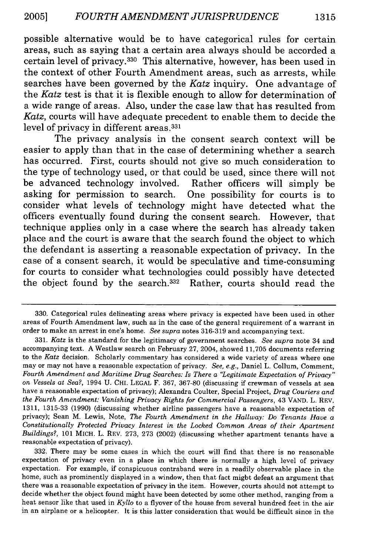possible alternative would be to have categorical rules for certain areas, such as saying that a certain area always should be accorded a certain level of privacy. 330 This alternative, however, has been used in the context of other Fourth Amendment areas, such as arrests, while searches have been governed by the *Katz* inquiry. One advantage of the *Katz* test is that it is flexible enough to allow for determination of a wide range of areas. Also, under the case law that has resulted from *Katz,* courts will have adequate precedent to enable them to decide the level of privacy in different areas.<sup>331</sup>

The privacy analysis in the consent search context will be easier to apply than that in the case of determining whether a search has occurred. First, courts should not give so much consideration to the type of technology used, or that could be used, since there will not be advanced technology involved. Rather officers will simply be asking for permission to search. One possibility for courts is to consider what levels of technology might have detected what the officers eventually found during the consent search. However, that technique applies only in a case where the search has already taken place and the court is aware that the search found the object to which the defendant is asserting a reasonable expectation of privacy. In the case of a consent search, it would be speculative and time-consuming for courts to consider what technologies could possibly have detected the object found by the search.332 Rather, courts should read the

332. There may be some cases in which the court will find that there is no reasonable expectation of privacy even in a place in which there is normally a high level of privacy expectation. For example, if conspicuous contraband were in a readily observable place in the home, such as prominently displayed in a window, then that fact might defeat an argument that there was a reasonable expectation of privacy in the item. However, courts should not attempt to decide whether the object found might have been detected by some other method, ranging from a heat sensor like that used in *Kyllo* to a flyover of the house from several hundred feet in the air in an airplane or a helicopter. It is this latter consideration that would be difficult since in the

<sup>330.</sup> Categorical rules delineating areas where privacy is expected have been used in other areas of Fourth Amendment law, such as in the case of the general requirement of a warrant in order to make an arrest in one's home. *See supra* notes 316-319 and accompanying text.

<sup>331.</sup> *Katz* is the standard for the legitimacy of government searches. *See supra* note 34 and accompanying text. A Westlaw search on February 27, 2004, showed 11,705 documents referring to the *Katz* decision. Scholarly commentary has considered a wide variety of areas where one may or may not have a reasonable expectation of privacy. *See, e.g.,* Daniel L. Collum, Comment, *Fourth Amendment and Maritime Drug Searches: Is There a "Legitimate Expectation of Privacy" on Vessels at Sea?,* 1994 U. **CHI.** LEGAL F. 367, 367-80 (discussing if crewman of vessels at sea have a reasonable expectation of privacy); Alexandra Coulter, Special Project, *Drug Couriers and the Fourth Amendment: Vanishing Privacy Rights for Commercial Passengers,* 43 VAND. L. REV. 1311, 1315-33 (1990) (discussing whether airline passengers have a reasonable expectation of privacy); Sean M. Lewis, Note, *The Fourth Amendment in the Hallway: Do Tenants Have a Constitutionally Protected Privacy Interest in the Locked Common Areas of their Apartment Buildings?,* 101 MICH. L. REV. 273, 273 (2002) (discussing whether apartment tenants have a reasonable expectation of privacy).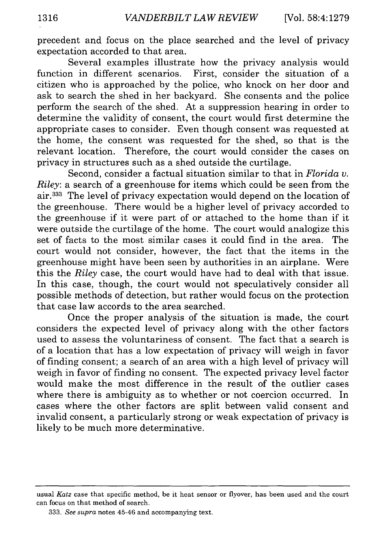precedent and focus on the place searched and the level of privacy expectation accorded to that area.

Several examples illustrate how the privacy analysis would function in different scenarios. First, consider the situation of a citizen who is approached by the police, who knock on her door and ask to search the shed in her backyard. She consents and the police perform the search of the shed. At a suppression hearing in order to determine the validity of consent, the court would first determine the appropriate cases to consider. Even though consent was requested at the home, the consent was requested for the shed, so that is the relevant location. Therefore, the court would consider the cases on privacy in structures such as a shed outside the curtilage.

Second, consider a factual situation similar to that in *Florida v. Riley:* a search of a greenhouse for items which could be seen from the air.333 The level of privacy expectation would depend on the location of the greenhouse. There would be a higher level of privacy accorded to the greenhouse if it were part of or attached to the home than if it were outside the curtilage of the home. The court would analogize this set of facts to the most similar cases it could find in the area. The court would not consider, however, the fact that the items in the greenhouse might have been seen by authorities in an airplane. Were this the *Riley* case, the court would have had to deal with that issue. In this case, though, the court would not speculatively consider all possible methods of detection, but rather would focus on the protection that case law accords to the area searched.

Once the proper analysis of the situation is made, the court considers the expected level of privacy along with the other factors used to assess the voluntariness of consent. The fact that a search is of a location that has a low expectation of privacy will weigh in favor of finding consent; a search of an area with a high level of privacy will weigh in favor of finding no consent. The expected privacy level factor would make the most difference in the result of the outlier cases where there is ambiguity as to whether or not coercion occurred. In cases where the other factors are split between valid consent and invalid consent, a particularly strong or weak expectation of privacy is likely to be much more determinative.

usual *Katz* case that specific method, be it heat sensor or flyover, has been used and the court can focus on that method of search.

<sup>333.</sup> *See supra* notes 45-46 and accompanying text.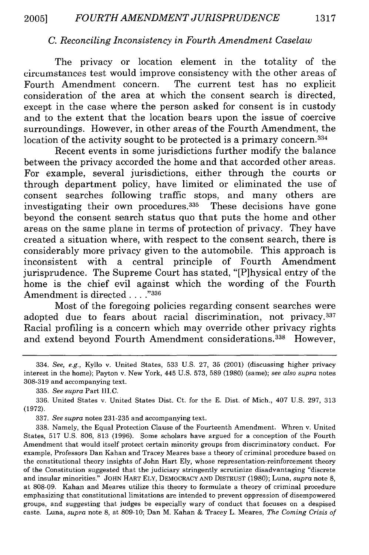## *C. Reconciling Inconsistency in Fourth Amendment Caselaw*

The privacy or location element in the totality of the circumstances test would improve consistency with the other areas of Fourth Amendment concern. The current test has no explicit consideration of the area at which the consent search is directed, except in the case where the person asked for consent is in custody and to the extent that the location bears upon the issue of coercive surroundings. However, in other areas of the Fourth Amendment, the location of the activity sought to be protected is a primary concern.<sup>334</sup>

Recent events in some jurisdictions further modify the balance between the privacy accorded the home and that accorded other areas. For example, several jurisdictions, either through the courts or through department policy, have limited or eliminated the use of consent searches following traffic stops, and many others are investigating their own procedures.<sup>335</sup> These decisions have gone beyond the consent search status quo that puts the home and other areas on the same plane in terms of protection of privacy. They have created a situation where, with respect to the consent search, there is considerably more privacy given to the automobile. This approach is inconsistent with a central principle of Fourth Amendment jurisprudence. The Supreme Court has stated, "[P]hysical entry of the home is the chief evil against which the wording of the Fourth Amendment is directed. . **.."336**

Most of the foregoing policies regarding consent searches were adopted due to fears about racial discrimination, not privacy.<sup>337</sup> Racial profiling is a concern which may override other privacy rights and extend beyond Fourth Amendment considerations.<sup>338</sup> However,

335. *See supra* Part III.C.

336. United States v. United States Dist. Ct. for the E. Dist. of Mich., 407 U.S. 297, 313 (1972).

337. *See supra* notes 231-235 and accompanying text.

338. Namely, the Equal Protection Clause of the Fourteenth Amendment. Whren v. United States, 517 U.S. 806, 813 (1996). Some scholars have argued for a conception of the Fourth Amendment that would itself protect certain minority groups from discriminatory conduct. For example, Professors Dan Kahan and Tracey Meares base a theory of criminal procedure based on the constitutional theory insights of John Hart Ely, whose representation-reinforcement theory of the Constitution suggested that the judiciary stringently scrutinize disadvantaging "discrete and insular minorities." JOHN HART ELY, DEMOCRACY AND DISTRUST (1980); Luna, *supra* note 8, at 808-09. Kahan and Meares utilize this theory to formulate a theory of criminal procedure emphasizing that constitutional limitations are intended to prevent oppression of disempowered groups, and suggesting that judges be especially wary of conduct that focuses on a despised caste. Luna, *supra* note 8, at 809-10; Dan M. Kahan & Tracey L. Meares, *The Coming Crisis of*

<sup>334.</sup> *See, e.g.,* Kyllo v. United States, 533 U.S. 27, 35 (2001) (discussing higher privacy interest in the home); Payton v. New York, 445 U.S. 573, 589 (1980) (same); *see also supra* notes 308-319 and accompanying text.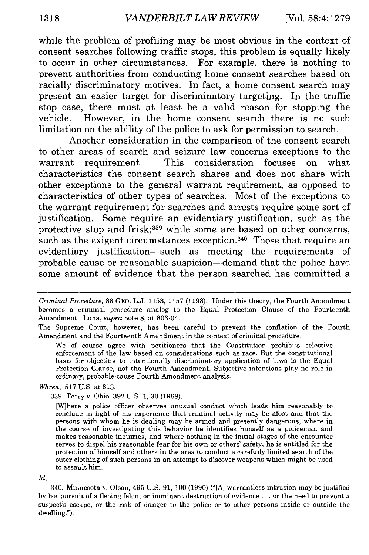while the problem of profiling may be most obvious in the context of consent searches following traffic stops, this problem is equally likely to occur in other circumstances. For example, there is nothing to prevent authorities from conducting home consent searches based on racially discriminatory motives. In fact, a home consent search may present an easier target for discriminatory targeting. In the traffic stop case, there must at least be a valid reason for stopping the vehicle. However, in the home consent search there is no such limitation on the ability of the police to ask for permission to search.

Another consideration in the comparison of the consent search to other areas of search and seizure law concerns exceptions to the warrant requirement. This consideration focuses on what characteristics the consent search shares and does not share with other exceptions to the general warrant requirement, as opposed to characteristics of other types of searches. Most of the exceptions to the warrant requirement for searches and arrests require some sort of justification. Some require an evidentiary justification, such as the protective stop and frisk;<sup>339</sup> while some are based on other concerns, such as the exigent circumstances exception.<sup>340</sup> Those that require an evidentiary justification-such as meeting the requirements of probable cause or reasonable suspicion-demand that the police have some amount of evidence that the person searched has committed a

#### *Whren,* 517 U.S. at 813.

339. Terry v. Ohio, 392 U.S. 1, 30 (1968).

*Id.*

340. Minnesota v. Olson, 495 U.S. 91, 100 (1990) ("[A] warrantless intrusion may be justified by hot pursuit of a fleeing felon, or imminent destruction of evidence **...** or the need to prevent a suspect's escape, or the risk of danger to the police or to other persons inside or outside the dwelling.").

*Criminal Procedure,* 86 GEO. L.J. 1153, 1157 (1198). Under this theory, the Fourth Amendment becomes a criminal procedure analog to the Equal Protection Clause of the Fourteenth Amendment. Luna, *supra* note **8,** at 803-04.

The Supreme Court, however, has been careful to prevent the conflation of the Fourth Amendment and the Fourteenth Amendment in the context of criminal procedure.

We of course agree with petitioners that the Constitution prohibits selective enforcement of the law based on considerations such as race. But the constitutional basis for objecting to intentionally discriminatory application of laws is the Equal Protection Clause, not the Fourth Amendment. Subjective intentions play no role in ordinary, probable-cause Fourth Amendment analysis.

<sup>[</sup>W]here a police officer observes unusual conduct which leads him reasonably to conclude in light of his experience that criminal activity may be afoot and that the persons with whom he is dealing may be armed and presently dangerous, where in the course of investigating this behavior he identifies himself as a policeman and makes reasonable inquiries, and where nothing in the initial stages of the encounter serves to dispel his reasonable fear for his own or others' safety, he is entitled for the protection of himself and others in the area to conduct a carefully limited search of the outer clothing of such persons in an attempt to discover weapons which might be used to assault him.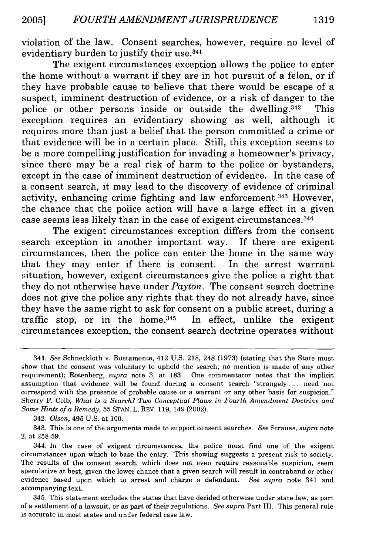violation of the law. Consent searches, however, require no level of evidentiary burden to justify their use. <sup>341</sup>

The exigent circumstances exception allows the police to enter the home without a warrant if they are in hot pursuit of a felon, or if they have probable cause to believe that there would be escape of a suspect, imminent destruction of evidence, or a risk of danger to the police or other persons inside or outside the dwelling.<sup>342</sup> This exception requires an evidentiary showing as well, although it requires more than just a belief that the person committed a crime or that evidence will be in a certain place. Still, this exception seems to be a more compelling justification for invading a homeowner's privacy, since there may be a real risk of harm to the police or bystanders, except in the case of imminent destruction of evidence. In the case of a consent search, it may lead to the discovery of evidence of criminal activity, enhancing crime fighting and law enforcement. 343 However, the chance that the police action will have a large effect in a given case seems less likely than in the case of exigent circumstances. <sup>344</sup>

The exigent circumstances exception differs from the consent search exception in another important way. If there are exigent circumstances, then the police can enter the home in the same way that they may enter if there is consent. In the arrest warrant situation, however, exigent circumstances give the police a right that they do not otherwise have under *Payton.* The consent search doctrine does not give the police any rights that they do not already have, since they have the same right to ask for consent on a public street, during a traffic stop, or in the home.<sup>345</sup> In effect, unlike the exigent circumstances exception, the consent search doctrine operates without

<sup>341.</sup> *See* Schneckloth v. Bustamonte, 412 U.S. 218, 248 (1973) (stating that the State must show that the consent was voluntary to uphold the search; no mention is made of any other requirement); Rotenberg, *supra* note 3, at 183. One commentator notes that the implicit assumption that evidence will be found during a consent search "strangely... need not correspond with the presence of probable cause or a warrant or any other basis for suspicion." Sherry F. Colb, What *is a Search? Two Conceptual Flaws in Fourth Amendment Doctrine and Some Hints of a Remedy,* 55 STAN. L. REV. 119, 149 (2002).

<sup>342.</sup> *Olson,* 495 **U.S.** at 100.

<sup>343.</sup> This is one of the arguments made to support consent searches. See Strauss, *supra* note 2, at 258-59.

<sup>344.</sup> In the case of exigent circumstances, the police must find one of the exigent circumstances upon which to base the entry. This showing suggests a present risk to society. The results of the consent search, which does not even require reasonable suspicion, seem speculative at best, given the lower chance that a given search will result in contraband or other evidence based upon which to arrest and charge a defendant. *See supra* note 341 and accompanying text.

<sup>345.</sup> This statement excludes the states that have decided otherwise under state law, as part of a settlement of a lawsuit, or as part of their regulations. *See supra* Part III. This general rule is accurate in most states and under federal case law.